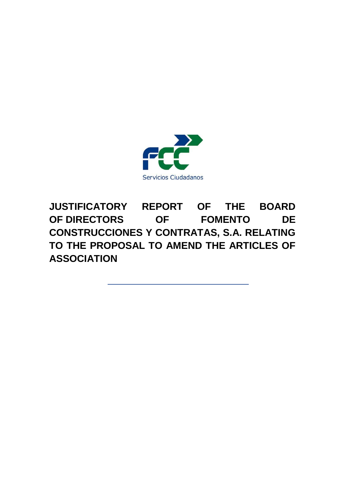

**JUSTIFICATORY REPORT OF THE BOARD OF DIRECTORS OF FOMENTO DE CONSTRUCCIONES Y CONTRATAS, S.A. RELATING TO THE PROPOSAL TO AMEND THE ARTICLES OF ASSOCIATION**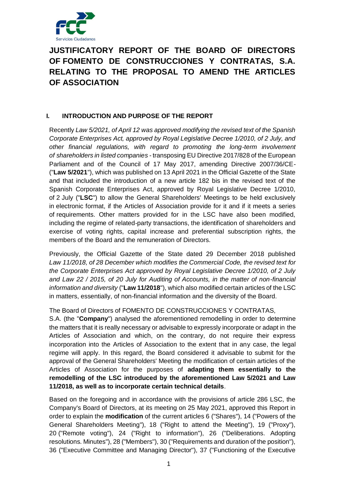

# **JUSTIFICATORY REPORT OF THE BOARD OF DIRECTORS OF FOMENTO DE CONSTRUCCIONES Y CONTRATAS, S.A. RELATING TO THE PROPOSAL TO AMEND THE ARTICLES OF ASSOCIATION**

# **I. INTRODUCTION AND PURPOSE OF THE REPORT**

Recently *Law 5/2021, of April 12 was approved modifying the revised text of the Spanish Corporate Enterprises Act, approved by Royal Legislative Decree 1/2010, of 2 July, and other financial regulations, with regard to promoting the long-term involvement of shareholders in listed companies* - transposing EU Directive 2017/828 of the European Parliament and of the Council of 17 May 2017, amending Directive 2007/36/CE- ("**Law 5/2021**"), which was published on 13 April 2021 in the Official Gazette of the State and that included the introduction of a new article 182 bis in the revised text of the Spanish Corporate Enterprises Act, approved by Royal Legislative Decree 1/2010, of 2 July ("**LSC**") to allow the General Shareholders' Meetings to be held exclusively in electronic format, if the Articles of Association provide for it and if it meets a series of requirements. Other matters provided for in the LSC have also been modified, including the regime of related-party transactions, the identification of shareholders and exercise of voting rights, capital increase and preferential subscription rights, the members of the Board and the remuneration of Directors.

Previously, the Official Gazette of the State dated 29 December 2018 published *Law 11/2018, of 28 December which modifies the Commercial Code, the revised text for the Corporate Enterprises Act approved by Royal Legislative Decree 1/2010, of 2 July and Law 22 / 2015, of 20 July for Auditing of Accounts, in the matter of non-financial information and diversity* ("**Law 11/2018**"), which also modified certain articles of the LSC in matters, essentially, of non-financial information and the diversity of the Board.

The Board of Directors of FOMENTO DE CONSTRUCCIONES Y CONTRATAS,

S.A. (the "**Company**") analysed the aforementioned remodelling in order to determine the matters that it is really necessary or advisable to expressly incorporate or adapt in the Articles of Association and which, on the contrary, do not require their express incorporation into the Articles of Association to the extent that in any case, the legal regime will apply. In this regard, the Board considered it advisable to submit for the approval of the General Shareholders' Meeting the modification of certain articles of the Articles of Association for the purposes of **adapting them essentially to the remodelling of the LSC introduced by the aforementioned Law 5/2021 and Law 11/2018, as well as to incorporate certain technical details**.

Based on the foregoing and in accordance with the provisions of article 286 LSC, the Company's Board of Directors, at its meeting on 25 May 2021, approved this Report in order to explain the **modification** of the current articles 6 ("Shares"), 14 ("Powers of the General Shareholders Meeting"), 18 ("Right to attend the Meeting"), 19 ("Proxy"), 20 ("Remote voting"), 24 ("Right to information"), 26 ("Deliberations. Adopting resolutions. Minutes"), 28 ("Members"), 30 ("Requirements and duration of the position"), 36 ("Executive Committee and Managing Director"), 37 ("Functioning of the Executive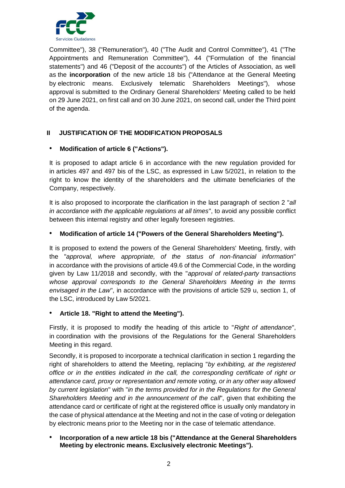

Committee"), 38 ("Remuneration"), 40 ("The Audit and Control Committee"), 41 ("The Appointments and Remuneration Committee"), 44 ("Formulation of the financial statements") and 46 ("Deposit of the accounts") of the Articles of Association, as well as the **incorporation** of the new article 18 bis ("Attendance at the General Meeting by electronic means. Exclusively telematic Shareholders Meetings"), whose approval is submitted to the Ordinary General Shareholders' Meeting called to be held on 29 June 2021, on first call and on 30 June 2021, on second call, under the Third point of the agenda.

# **II JUSTIFICATION OF THE MODIFICATION PROPOSALS**

## • **Modification of article 6 ("Actions").**

It is proposed to adapt article 6 in accordance with the new regulation provided for in articles 497 and 497 bis of the LSC, as expressed in Law 5/2021, in relation to the right to know the identity of the shareholders and the ultimate beneficiaries of the Company, respectively.

It is also proposed to incorporate the clarification in the last paragraph of section 2 "*all in accordance with the applicable regulations at all times*", to avoid any possible conflict between this internal registry and other legally foreseen registries.

# • **Modification of article 14 ("Powers of the General Shareholders Meeting").**

It is proposed to extend the powers of the General Shareholders' Meeting, firstly, with the "*approval, where appropriate, of the status of non-financial information*" in accordance with the provisions of article 49.6 of the Commercial Code, in the wording given by Law 11/2018 and secondly, with the "*approval of related-party transactions whose approval corresponds to the General Shareholders Meeting in the terms envisaged in the Law*", in accordance with the provisions of article 529 u, section 1, of the LSC, introduced by Law 5/2021.

### • **Article 18. "Right to attend the Meeting").**

Firstly, it is proposed to modify the heading of this article to "*Right of attendance*", in coordination with the provisions of the Regulations for the General Shareholders Meeting in this regard.

Secondly, it is proposed to incorporate a technical clarification in section 1 regarding the right of shareholders to attend the Meeting, replacing "*by exhibiting, at the registered office or in the entities indicated in the call, the corresponding certificate of right or attendance card, proxy or representation and remote voting, or in any other way allowed by current legislation*" with "*in the terms provided for in the Regulations for the General Shareholders Meeting and in the announcement of the call*", given that exhibiting the attendance card or certificate of right at the registered office is usually only mandatory in the case of physical attendance at the Meeting and not in the case of voting or delegation by electronic means prior to the Meeting nor in the case of telematic attendance.

## • **Incorporation of a new article 18 bis ("Attendance at the General Shareholders Meeting by electronic means. Exclusively electronic Meetings").**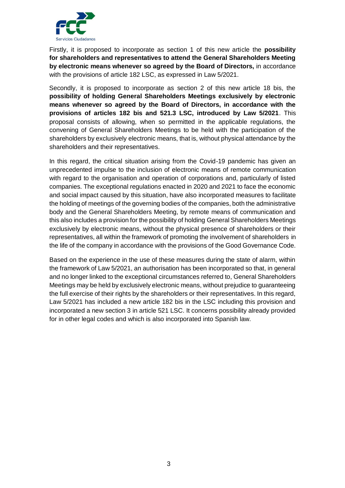

Firstly, it is proposed to incorporate as section 1 of this new article the **possibility for shareholders and representatives to attend the General Shareholders Meeting by electronic means whenever so agreed by the Board of Directors,** in accordance with the provisions of article 182 LSC, as expressed in Law 5/2021.

Secondly, it is proposed to incorporate as section 2 of this new article 18 bis, the **possibility of holding General Shareholders Meetings exclusively by electronic means whenever so agreed by the Board of Directors, in accordance with the provisions of articles 182 bis and 521.3 LSC, introduced by Law 5/2021**. This proposal consists of allowing, when so permitted in the applicable regulations, the convening of General Shareholders Meetings to be held with the participation of the shareholders by exclusively electronic means, that is, without physical attendance by the shareholders and their representatives.

In this regard, the critical situation arising from the Covid-19 pandemic has given an unprecedented impulse to the inclusion of electronic means of remote communication with regard to the organisation and operation of corporations and, particularly of listed companies. The exceptional regulations enacted in 2020 and 2021 to face the economic and social impact caused by this situation, have also incorporated measures to facilitate the holding of meetings of the governing bodies of the companies, both the administrative body and the General Shareholders Meeting, by remote means of communication and this also includes a provision for the possibility of holding General Shareholders Meetings exclusively by electronic means, without the physical presence of shareholders or their representatives, all within the framework of promoting the involvement of shareholders in the life of the company in accordance with the provisions of the Good Governance Code.

Based on the experience in the use of these measures during the state of alarm, within the framework of Law 5/2021, an authorisation has been incorporated so that, in general and no longer linked to the exceptional circumstances referred to, General Shareholders Meetings may be held by exclusively electronic means, without prejudice to guaranteeing the full exercise of their rights by the shareholders or their representatives. In this regard, Law 5/2021 has included a new article 182 bis in the LSC including this provision and incorporated a new section 3 in article 521 LSC. It concerns possibility already provided for in other legal codes and which is also incorporated into Spanish law.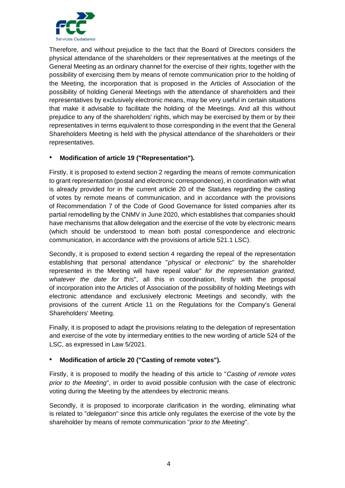

Therefore, and without prejudice to the fact that the Board of Directors considers the physical attendance of the shareholders or their representatives at the meetings of the General Meeting as an ordinary channel for the exercise of their rights, together with the possibility of exercising them by means of remote communication prior to the holding of the Meeting, the incorporation that is proposed in the Articles of Association of the possibility of holding General Meetings with the attendance of shareholders and their representatives by exclusively electronic means, may be very useful in certain situations that make it advisable to facilitate the holding of the Meetings. And all this without prejudice to any of the shareholders' rights, which may be exercised by them or by their representatives in terms equivalent to those corresponding in the event that the General Shareholders Meeting is held with the physical attendance of the shareholders or their representatives.

## • **Modification of article 19 ("Representation").**

Firstly, it is proposed to extend section 2 regarding the means of remote communication to grant representation (postal and electronic correspondence), in coordination with what is already provided for in the current article 20 of the Statutes regarding the casting of votes by remote means of communication, and in accordance with the provisions of Recommendation 7 of the Code of Good Governance for listed companies after its partial remodelling by the CNMV in June 2020, which establishes that companies should have mechanisms that allow delegation and the exercise of the vote by electronic means (which should be understood to mean both postal correspondence and electronic communication, in accordance with the provisions of article 521.1 LSC).

Secondly, it is proposed to extend section 4 regarding the repeal of the representation establishing that personal attendance "*physical or electronic*" by the shareholder represented in the Meeting will have repeal value" *for the representation granted, whatever the date for this*", all this in coordination, firstly with the proposal of incorporation into the Articles of Association of the possibility of holding Meetings with electronic attendance and exclusively electronic Meetings and secondly, with the provisions of the current Article 11 on the Regulations for the Company's General Shareholders' Meeting.

Finally, it is proposed to adapt the provisions relating to the delegation of representation and exercise of the vote by intermediary entities to the new wording of article 524 of the LSC, as expressed in Law 5/2021.

### • **Modification of article 20 ("Casting of remote votes").**

Firstly, it is proposed to modify the heading of this article to "*Casting of remote votes prior to the Meeting*", in order to avoid possible confusion with the case of electronic voting during the Meeting by the attendees by electronic means.

Secondly, it is proposed to incorporate clarification in the wording, eliminating what is related to "*delegation*" since this article only regulates the exercise of the vote by the shareholder by means of remote communication "*prior to the Meeting*".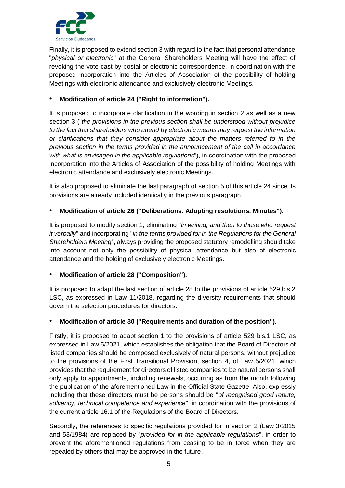

Finally, it is proposed to extend section 3 with regard to the fact that personal attendance "*physical or electronic*" at the General Shareholders Meeting will have the effect of revoking the vote cast by postal or electronic correspondence, in coordination with the proposed incorporation into the Articles of Association of the possibility of holding Meetings with electronic attendance and exclusively electronic Meetings.

# • **Modification of article 24 ("Right to information").**

It is proposed to incorporate clarification in the wording in section 2 as well as a new section 3 ("*the provisions in the previous section shall be understood without prejudice to the fact that shareholders who attend by electronic means may request the information or clarifications that they consider appropriate about the matters referred to in the previous section in the terms provided in the announcement of the call in accordance with what is envisaged in the applicable regulations*"), in coordination with the proposed incorporation into the Articles of Association of the possibility of holding Meetings with electronic attendance and exclusively electronic Meetings.

It is also proposed to eliminate the last paragraph of section 5 of this article 24 since its provisions are already included identically in the previous paragraph.

# • **Modification of article 26 ("Deliberations. Adopting resolutions. Minutes").**

It is proposed to modify section 1, eliminating "*in writing, and then to those who request it verbally*" and incorporating "*in the terms provided for in the Regulations for the General Shareholders Meeting*", always providing the proposed statutory remodelling should take into account not only the possibility of physical attendance but also of electronic attendance and the holding of exclusively electronic Meetings.

# • **Modification of article 28 ("Composition").**

It is proposed to adapt the last section of article 28 to the provisions of article 529 bis.2 LSC, as expressed in Law 11/2018, regarding the diversity requirements that should govern the selection procedures for directors.

# • **Modification of article 30 ("Requirements and duration of the position").**

Firstly, it is proposed to adapt section 1 to the provisions of article 529 bis.1 LSC, as expressed in Law 5/2021, which establishes the obligation that the Board of Directors of listed companies should be composed exclusively of natural persons, without prejudice to the provisions of the First Transitional Provision, section 4, of Law 5/2021, which provides that the requirement for directors of listed companies to be natural persons shall only apply to appointments, including renewals, occurring as from the month following the publication of the aforementioned Law in the Official State Gazette. Also, expressly including that these directors must be persons should be "*of recognised good repute, solvency, technical competence and experience*", in coordination with the provisions of the current article 16.1 of the Regulations of the Board of Directors.

Secondly, the references to specific regulations provided for in section 2 (Law 3/2015 and 53/1984) are replaced by "*provided for in the applicable regulations*", in order to prevent the aforementioned regulations from ceasing to be in force when they are repealed by others that may be approved in the future.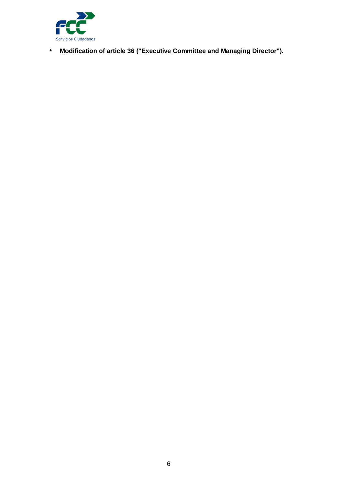

• **Modification of article 36 ("Executive Committee and Managing Director").**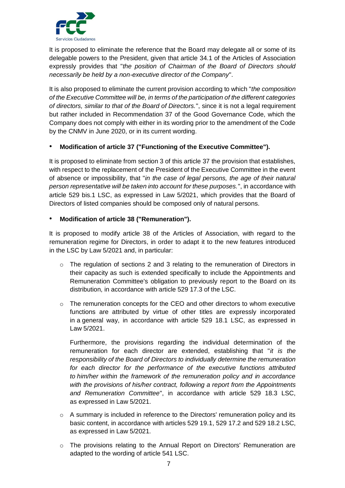

It is proposed to eliminate the reference that the Board may delegate all or some of its delegable powers to the President, given that article 34.1 of the Articles of Association expressly provides that "*the position of Chairman of the Board of Directors should necessarily be held by a non-executive director of the Company*".

It is also proposed to eliminate the current provision according to which "*the composition of the Executive Committee will be, in terms of the participation of the different categories of directors, similar to that of the Board of Directors.*", since it is not a legal requirement but rather included in Recommendation 37 of the Good Governance Code, which the Company does not comply with either in its wording prior to the amendment of the Code by the CNMV in June 2020, or in its current wording.

## • **Modification of article 37 ("Functioning of the Executive Committee").**

It is proposed to eliminate from section 3 of this article 37 the provision that establishes, with respect to the replacement of the President of the Executive Committee in the event of absence or impossibility, that "*in the case of legal persons, the age of their natural person representative will be taken into account for these purposes.*", in accordance with article 529 bis.1 LSC, as expressed in Law 5/2021, which provides that the Board of Directors of listed companies should be composed only of natural persons.

## • **Modification of article 38 ("Remuneration").**

It is proposed to modify article 38 of the Articles of Association, with regard to the remuneration regime for Directors, in order to adapt it to the new features introduced in the LSC by Law 5/2021 and, in particular:

- $\circ$  The regulation of sections 2 and 3 relating to the remuneration of Directors in their capacity as such is extended specifically to include the Appointments and Remuneration Committee's obligation to previously report to the Board on its distribution, in accordance with article 529 17.3 of the LSC.
- o The remuneration concepts for the CEO and other directors to whom executive functions are attributed by virtue of other titles are expressly incorporated in a general way, in accordance with article 529 18.1 LSC, as expressed in Law 5/2021.

Furthermore, the provisions regarding the individual determination of the remuneration for each director are extended, establishing that "*it is the responsibility of the Board of Directors to individually determine the remuneration for each director for the performance of the executive functions attributed to him/her within the framework of the remuneration policy and in accordance with the provisions of his/her contract, following a report from the Appointments and Remuneration Committee*", in accordance with article 529 18.3 LSC, as expressed in Law 5/2021.

- $\circ$  A summary is included in reference to the Directors' remuneration policy and its basic content, in accordance with articles 529 19.1, 529 17.2 and 529 18.2 LSC, as expressed in Law 5/2021.
- o The provisions relating to the Annual Report on Directors' Remuneration are adapted to the wording of article 541 LSC.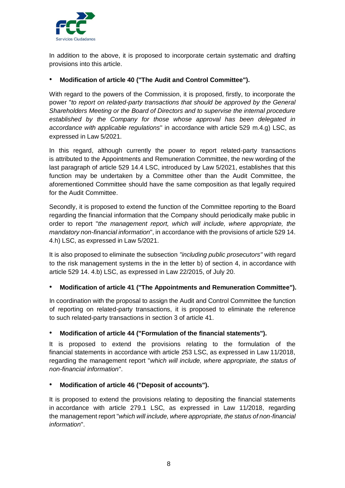

In addition to the above, it is proposed to incorporate certain systematic and drafting provisions into this article.

# • **Modification of article 40 ("The Audit and Control Committee").**

With regard to the powers of the Commission, it is proposed, firstly, to incorporate the power "*to report on related-party transactions that should be approved by the General Shareholders Meeting or the Board of Directors and to supervise the internal procedure established by the Company for those whose approval has been delegated in accordance with applicable regulations*" in accordance with article 529 m.4.g) LSC, as expressed in Law 5/2021.

In this regard, although currently the power to report related-party transactions is attributed to the Appointments and Remuneration Committee, the new wording of the last paragraph of article 529 14.4 LSC, introduced by Law 5/2021, establishes that this function may be undertaken by a Committee other than the Audit Committee, the aforementioned Committee should have the same composition as that legally required for the Audit Committee.

Secondly, it is proposed to extend the function of the Committee reporting to the Board regarding the financial information that the Company should periodically make public in order to report "*the management report, which will include, where appropriate, the mandatory non-financial information*", in accordance with the provisions of article 529 14. 4.h) LSC, as expressed in Law 5/2021.

It is also proposed to eliminate the subsection *"including public prosecutors"* with regard to the risk management systems in the in the letter b) of section 4, in accordance with article 529 14. 4.b) LSC, as expressed in Law 22/2015, of July 20.

# • **Modification of article 41 ("The Appointments and Remuneration Committee").**

In coordination with the proposal to assign the Audit and Control Committee the function of reporting on related-party transactions, it is proposed to eliminate the reference to such related-party transactions in section 3 of article 41.

# • **Modification of article 44 ("Formulation of the financial statements").**

It is proposed to extend the provisions relating to the formulation of the financial statements in accordance with article 253 LSC, as expressed in Law 11/2018, regarding the management report "*which will include, where appropriate, the status of non-financial information*".

### • **Modification of article 46 ("Deposit of accounts").**

It is proposed to extend the provisions relating to depositing the financial statements in accordance with article 279.1 LSC, as expressed in Law 11/2018, regarding the management report "*which will include, where appropriate, the status of non-financial information*".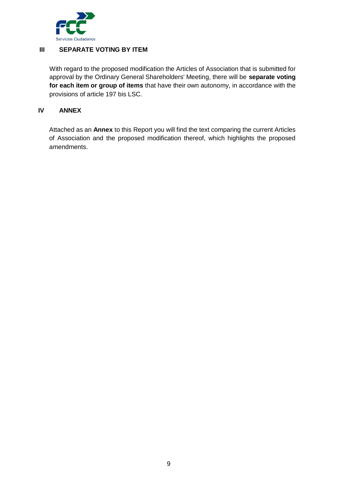

# **III SEPARATE VOTING BY ITEM**

With regard to the proposed modification the Articles of Association that is submitted for approval by the Ordinary General Shareholders' Meeting, there will be **separate voting for each item or group of items** that have their own autonomy, in accordance with the provisions of article 197 bis LSC.

## **IV ANNEX**

Attached as an **Annex** to this Report you will find the text comparing the current Articles of Association and the proposed modification thereof, which highlights the proposed amendments.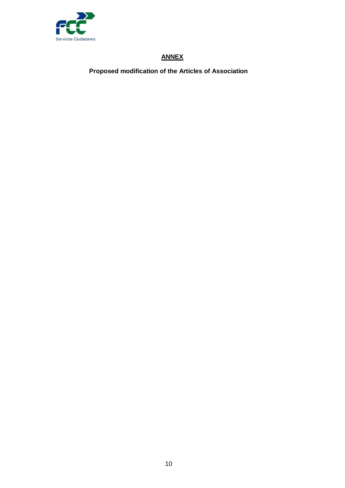

# **ANNEX**

**Proposed modification of the Articles of Association**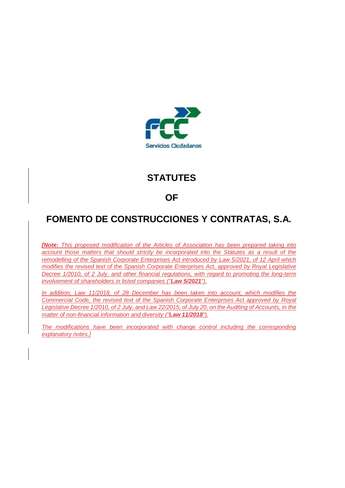

# **STATUTES**

# **OF**

# **FOMENTO DE CONSTRUCCIONES Y CONTRATAS, S.A.**

*[Note: This proposed modification of the Articles of Association has been prepared taking into account those matters that should strictly be incorporated into the Statutes as a result of the remodelling of the Spanish Corporate Enterprises Act introduced by Law 5/2021, of 12 April which modifies the revised text of the Spanish Corporate Enterprises Act, approved by Royal Legislative Decree 1/2010, of 2 July, and other financial regulations, with regard to promoting the long-term involvement of shareholders in listed companies ("Law 5/2021").*

*In addition, Law 11/2018, of 28 December has been taken into account, which modifies the Commercial Code, the revised text of the Spanish Corporate Enterprises Act approved by Royal Legislative Decree 1/2010, of 2 July, and Law 22/2015, of July 20, on the Auditing of Accounts, in the matter of non-financial information and diversity ("Law 11/2018").*

*The modifications have been incorporated with change control including the corresponding explanatory notes.]*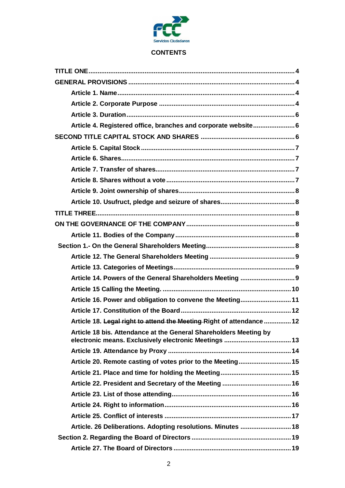

# **CONTENTS**

| Article 4. Registered office, branches and corporate website 6        |
|-----------------------------------------------------------------------|
|                                                                       |
|                                                                       |
|                                                                       |
|                                                                       |
|                                                                       |
|                                                                       |
|                                                                       |
|                                                                       |
|                                                                       |
|                                                                       |
|                                                                       |
|                                                                       |
|                                                                       |
|                                                                       |
|                                                                       |
| Article 16. Power and obligation to convene the Meeting 11            |
|                                                                       |
| Article 18. Legal right to attend the Meeting-Right of attendance  12 |
| Article 18 bis. Attendance at the General Shareholders Meeting by     |
|                                                                       |
| Article 20. Remote casting of votes prior to the Meeting15            |
|                                                                       |
|                                                                       |
|                                                                       |
|                                                                       |
|                                                                       |
| Article. 26 Deliberations. Adopting resolutions. Minutes  18          |
|                                                                       |
|                                                                       |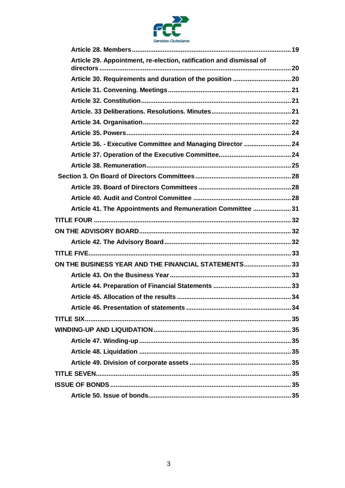

| Article 29. Appointment, re-election, ratification and dismissal of |  |
|---------------------------------------------------------------------|--|
|                                                                     |  |
|                                                                     |  |
|                                                                     |  |
|                                                                     |  |
|                                                                     |  |
|                                                                     |  |
|                                                                     |  |
| Article 36. - Executive Committee and Managing Director  24         |  |
|                                                                     |  |
|                                                                     |  |
|                                                                     |  |
|                                                                     |  |
|                                                                     |  |
| Article 41. The Appointments and Remuneration Committee 31          |  |
|                                                                     |  |
|                                                                     |  |
|                                                                     |  |
|                                                                     |  |
|                                                                     |  |
| ON THE BUSINESS YEAR AND THE FINANCIAL STATEMENTS 33                |  |
|                                                                     |  |
|                                                                     |  |
|                                                                     |  |
|                                                                     |  |
|                                                                     |  |
|                                                                     |  |
|                                                                     |  |
|                                                                     |  |
|                                                                     |  |
|                                                                     |  |
|                                                                     |  |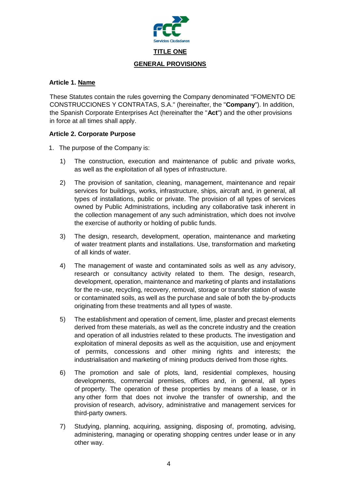

### <span id="page-14-2"></span><span id="page-14-1"></span><span id="page-14-0"></span>**Article 1. Name**

These Statutes contain the rules governing the Company denominated "FOMENTO DE CONSTRUCCIONES Y CONTRATAS, S.A." (hereinafter, the "**Company**"). In addition, the Spanish Corporate Enterprises Act (hereinafter the "**Act**") and the other provisions in force at all times shall apply.

# <span id="page-14-3"></span>**Article 2. Corporate Purpose**

- 1. The purpose of the Company is:
	- 1) The construction, execution and maintenance of public and private works, as well as the exploitation of all types of infrastructure.
	- 2) The provision of sanitation, cleaning, management, maintenance and repair services for buildings, works, infrastructure, ships, aircraft and, in general, all types of installations, public or private. The provision of all types of services owned by Public Administrations, including any collaborative task inherent in the collection management of any such administration, which does not involve the exercise of authority or holding of public funds.
	- 3) The design, research, development, operation, maintenance and marketing of water treatment plants and installations. Use, transformation and marketing of all kinds of water.
	- 4) The management of waste and contaminated soils as well as any advisory, research or consultancy activity related to them. The design, research, development, operation, maintenance and marketing of plants and installations for the re-use, recycling, recovery, removal, storage or transfer station of waste or contaminated soils, as well as the purchase and sale of both the by-products originating from these treatments and all types of waste.
	- 5) The establishment and operation of cement, lime, plaster and precast elements derived from these materials, as well as the concrete industry and the creation and operation of all industries related to these products. The investigation and exploitation of mineral deposits as well as the acquisition, use and enjoyment of permits, concessions and other mining rights and interests; the industrialisation and marketing of mining products derived from those rights.
	- 6) The promotion and sale of plots, land, residential complexes, housing developments, commercial premises, offices and, in general, all types of property. The operation of these properties by means of a lease, or in any other form that does not involve the transfer of ownership, and the provision of research, advisory, administrative and management services for third-party owners.
	- 7) Studying, planning, acquiring, assigning, disposing of, promoting, advising, administering, managing or operating shopping centres under lease or in any other way.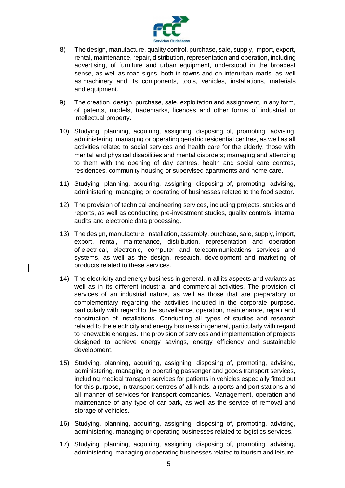

- 8) The design, manufacture, quality control, purchase, sale, supply, import, export, rental, maintenance, repair, distribution, representation and operation, including advertising, of furniture and urban equipment, understood in the broadest sense, as well as road signs, both in towns and on interurban roads, as well as machinery and its components, tools, vehicles, installations, materials and equipment.
- 9) The creation, design, purchase, sale, exploitation and assignment, in any form, of patents, models, trademarks, licences and other forms of industrial or intellectual property.
- 10) Studying, planning, acquiring, assigning, disposing of, promoting, advising, administering, managing or operating geriatric residential centres, as well as all activities related to social services and health care for the elderly, those with mental and physical disabilities and mental disorders; managing and attending to them with the opening of day centres, health and social care centres, residences, community housing or supervised apartments and home care.
- 11) Studying, planning, acquiring, assigning, disposing of, promoting, advising, administering, managing or operating of businesses related to the food sector.
- 12) The provision of technical engineering services, including projects, studies and reports, as well as conducting pre-investment studies, quality controls, internal audits and electronic data processing.
- 13) The design, manufacture, installation, assembly, purchase, sale, supply, import, export, rental, maintenance, distribution, representation and operation of electrical, electronic, computer and telecommunications services and systems, as well as the design, research, development and marketing of products related to these services.
- 14) The electricity and energy business in general, in all its aspects and variants as well as in its different industrial and commercial activities. The provision of services of an industrial nature, as well as those that are preparatory or complementary regarding the activities included in the corporate purpose, particularly with regard to the surveillance, operation, maintenance, repair and construction of installations. Conducting all types of studies and research related to the electricity and energy business in general, particularly with regard to renewable energies. The provision of services and implementation of projects designed to achieve energy savings, energy efficiency and sustainable development.
- 15) Studying, planning, acquiring, assigning, disposing of, promoting, advising, administering, managing or operating passenger and goods transport services, including medical transport services for patients in vehicles especially fitted out for this purpose, in transport centres of all kinds, airports and port stations and all manner of services for transport companies. Management, operation and maintenance of any type of car park, as well as the service of removal and storage of vehicles.
- 16) Studying, planning, acquiring, assigning, disposing of, promoting, advising, administering, managing or operating businesses related to logistics services.
- 17) Studying, planning, acquiring, assigning, disposing of, promoting, advising, administering, managing or operating businesses related to tourism and leisure.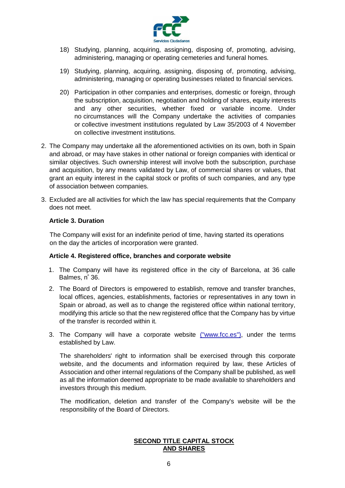

- 18) Studying, planning, acquiring, assigning, disposing of, promoting, advising, administering, managing or operating cemeteries and funeral homes.
- 19) Studying, planning, acquiring, assigning, disposing of, promoting, advising, administering, managing or operating businesses related to financial services.
- 20) Participation in other companies and enterprises, domestic or foreign, through the subscription, acquisition, negotiation and holding of shares, equity interests and any other securities, whether fixed or variable income. Under no circumstances will the Company undertake the activities of companies or collective investment institutions regulated by Law 35/2003 of 4 November on collective investment institutions.
- 2. The Company may undertake all the aforementioned activities on its own, both in Spain and abroad, or may have stakes in other national or foreign companies with identical or similar objectives. Such ownership interest will involve both the subscription, purchase and acquisition, by any means validated by Law, of commercial shares or values, that grant an equity interest in the capital stock or profits of such companies, and any type of association between companies.
- 3. Excluded are all activities for which the law has special requirements that the Company does not meet.

#### <span id="page-16-0"></span>**Article 3. Duration**

The Company will exist for an indefinite period of time, having started its operations on the day the articles of incorporation were granted.

#### <span id="page-16-1"></span>**Article 4. Registered office, branches and corporate website**

- 1. The Company will have its registered office in the city of Barcelona, at 36 calle Balmes, n <sup>º</sup> 36.
- 2. The Board of Directors is empowered to establish, remove and transfer branches, local offices, agencies, establishments, factories or representatives in any town in Spain or abroad, as well as to change the registered office within national territory, modifying this article so that the new registered office that the Company has by virtue of the transfer is recorded within it.
- 3. The Company will have a corporate website (["www.fcc.es"](http://www.fcc.es/)), under the terms established by Law.

The shareholders' right to information shall be exercised through this corporate website, and the documents and information required by law, these Articles of Association and other internal regulations of the Company shall be published, as well as all the information deemed appropriate to be made available to shareholders and investors through this medium.

<span id="page-16-2"></span>The modification, deletion and transfer of the Company's website will be the responsibility of the Board of Directors.

### **SECOND TITLE CAPITAL STOCK AND SHARES**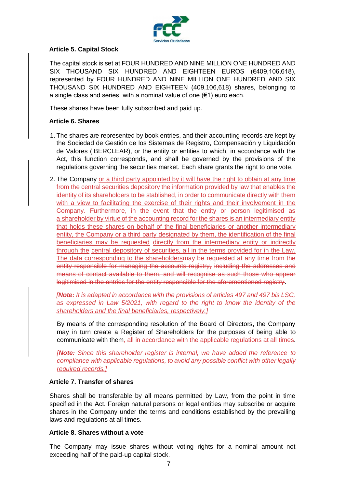

## <span id="page-17-0"></span>**Article 5. Capital Stock**

The capital stock is set at FOUR HUNDRED AND NINE MILLION ONE HUNDRED AND SIX THOUSAND SIX HUNDRED AND EIGHTEEN EUROS (€409,106,618), represented by FOUR HUNDRED AND NINE MILLION ONE HUNDRED AND SIX THOUSAND SIX HUNDRED AND EIGHTEEN (409,106,618) shares, belonging to a single class and series, with a nominal value of one  $(€1)$  euro each.

These shares have been fully subscribed and paid up.

## <span id="page-17-1"></span>**Article 6. Shares**

- 1. The shares are represented by book entries, and their accounting records are kept by the Sociedad de Gestión de los Sistemas de Registro, Compensación y Liquidación de Valores (IBERCLEAR), or the entity or entities to which, in accordance with the Act, this function corresponds, and shall be governed by the provisions of the regulations governing the securities market. Each share grants the right to one vote.
- 2. The Company or a third party appointed by it will have the right to obtain at any time from the central securities depository the information provided by law that enables the identity of its shareholders to be stablished, in order to communicate directly with them with a view to facilitating the exercise of their rights and their involvement in the Company. Furthermore, in the event that the entity or person legitimised as a shareholder by virtue of the accounting record for the shares is an intermediary entity that holds these shares on behalf of the final beneficiaries or another intermediary entity, the Company or a third party designated by them, the identification of the final beneficiaries may be requested directly from the intermediary entity or indirectly through the central depository of securities, all in the terms provided for in the Law. The data corresponding to the shareholdersmay be requested at any time from the entity responsible for managing the accounts registry, including the addresses and means of contact available to them, and will recognise as such those who appear legitimised in the entries for the entity responsible for the aforementioned registry.

*[Note: It is adapted in accordance with the provisions of articles 497 and 497 bis LSC, as expressed in Law 5/2021, with regard to the right to know the identity of the shareholders and the final beneficiaries, respectively.]*

By means of the corresponding resolution of the Board of Directors, the Company may in turn create a Register of Shareholders for the purposes of being able to communicate with them, all in accordance with the applicable regulations at all times.

*[Note: Since this shareholder register is internal, we have added the reference to compliance with applicable regulations, to avoid any possible conflict with other legally required records.]*

### <span id="page-17-2"></span>**Article 7. Transfer of shares**

Shares shall be transferable by all means permitted by Law, from the point in time specified in the Act. Foreign natural persons or legal entities may subscribe or acquire shares in the Company under the terms and conditions established by the prevailing laws and regulations at all times.

### <span id="page-17-3"></span>**Article 8. Shares without a vote**

The Company may issue shares without voting rights for a nominal amount not exceeding half of the paid-up capital stock.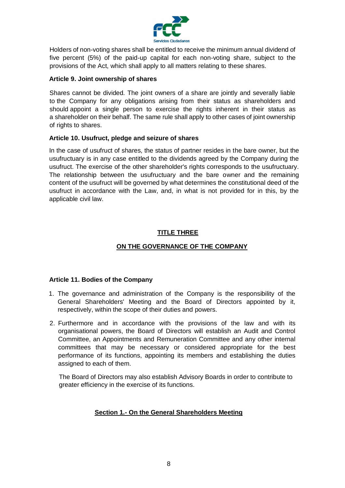

Holders of non-voting shares shall be entitled to receive the minimum annual dividend of five percent (5%) of the paid-up capital for each non-voting share, subject to the provisions of the Act, which shall apply to all matters relating to these shares.

### <span id="page-18-0"></span>**Article 9. Joint ownership of shares**

Shares cannot be divided. The joint owners of a share are jointly and severally liable to the Company for any obligations arising from their status as shareholders and should appoint a single person to exercise the rights inherent in their status as a shareholder on their behalf. The same rule shall apply to other cases of joint ownership of rights to shares.

### <span id="page-18-1"></span>**Article 10. Usufruct, pledge and seizure of shares**

In the case of usufruct of shares, the status of partner resides in the bare owner, but the usufructuary is in any case entitled to the dividends agreed by the Company during the usufruct. The exercise of the other shareholder's rights corresponds to the usufructuary. The relationship between the usufructuary and the bare owner and the remaining content of the usufruct will be governed by what determines the constitutional deed of the usufruct in accordance with the Law, and, in what is not provided for in this, by the applicable civil law.

# **TITLE THREE**

# **ON THE GOVERNANCE OF THE COMPANY**

### <span id="page-18-4"></span><span id="page-18-3"></span><span id="page-18-2"></span>**Article 11. Bodies of the Company**

- 1. The governance and administration of the Company is the responsibility of the General Shareholders' Meeting and the Board of Directors appointed by it, respectively, within the scope of their duties and powers.
- 2. Furthermore and in accordance with the provisions of the law and with its organisational powers, the Board of Directors will establish an Audit and Control Committee, an Appointments and Remuneration Committee and any other internal committees that may be necessary or considered appropriate for the best performance of its functions, appointing its members and establishing the duties assigned to each of them.

<span id="page-18-5"></span>The Board of Directors may also establish Advisory Boards in order to contribute to greater efficiency in the exercise of its functions.

### **Section 1.- On the General Shareholders Meeting**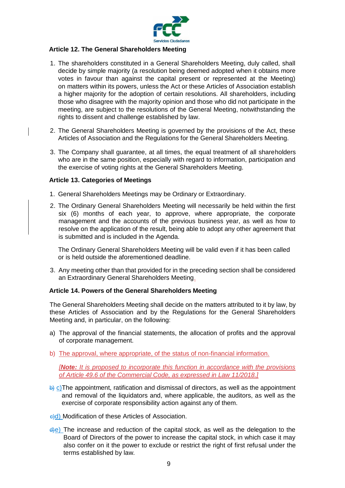

#### <span id="page-19-0"></span>**Article 12. The General Shareholders Meeting**

- 1. The shareholders constituted in a General Shareholders Meeting, duly called, shall decide by simple majority (a resolution being deemed adopted when it obtains more votes in favour than against the capital present or represented at the Meeting) on matters within its powers, unless the Act or these Articles of Association establish a higher majority for the adoption of certain resolutions. All shareholders, including those who disagree with the majority opinion and those who did not participate in the meeting, are subject to the resolutions of the General Meeting, notwithstanding the rights to dissent and challenge established by law.
- 2. The General Shareholders Meeting is governed by the provisions of the Act, these Articles of Association and the Regulations for the General Shareholders Meeting.
- 3. The Company shall guarantee, at all times, the equal treatment of all shareholders who are in the same position, especially with regard to information, participation and the exercise of voting rights at the General Shareholders Meeting.

### <span id="page-19-1"></span>**Article 13. Categories of Meetings**

- 1. General Shareholders Meetings may be Ordinary or Extraordinary.
- 2. The Ordinary General Shareholders Meeting will necessarily be held within the first six (6) months of each year, to approve, where appropriate, the corporate management and the accounts of the previous business year, as well as how to resolve on the application of the result, being able to adopt any other agreement that is submitted and is included in the Agenda.

The Ordinary General Shareholders Meeting will be valid even if it has been called or is held outside the aforementioned deadline.

3. Any meeting other than that provided for in the preceding section shall be considered an Extraordinary General Shareholders Meeting.

#### <span id="page-19-2"></span>**Article 14. Powers of the General Shareholders Meeting**

The General Shareholders Meeting shall decide on the matters attributed to it by law, by these Articles of Association and by the Regulations for the General Shareholders Meeting and, in particular, on the following:

- a) The approval of the financial statements, the allocation of profits and the approval of corporate management.
- b) The approval, where appropriate, of the status of non-financial information.

*[Note: It is proposed to incorporate this function in accordance with the provisions of Article 49.6 of the Commercial Code, as expressed in Law 11/2018.]*

- $\frac{b}{c}$  C) The appointment, ratification and dismissal of directors, as well as the appointment and removal of the liquidators and, where applicable, the auditors, as well as the exercise of corporate responsibility action against any of them.
- e)d) Modification of these Articles of Association.
- $\frac{d}{dx}$ ) The increase and reduction of the capital stock, as well as the delegation to the Board of Directors of the power to increase the capital stock, in which case it may also confer on it the power to exclude or restrict the right of first refusal under the terms established by law.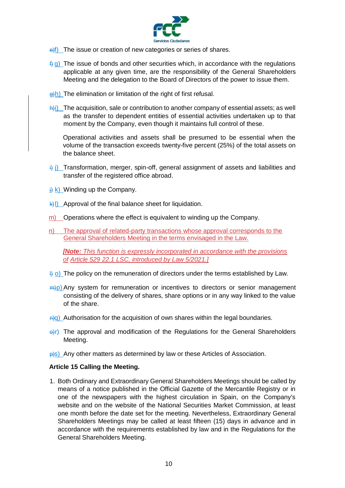

- e) The issue or creation of new categories or series of shares.
- $f(x)$  The issue of bonds and other securities which, in accordance with the regulations applicable at any given time, are the responsibility of the General Shareholders Meeting and the delegation to the Board of Directors of the power to issue them.
- $\frac{a}{b}$ h) The elimination or limitation of the right of first refusal.
- $\frac{h}{h}$ i) The acquisition, sale or contribution to another company of essential assets; as well as the transfer to dependent entities of essential activities undertaken up to that moment by the Company, even though it maintains full control of these.

Operational activities and assets shall be presumed to be essential when the volume of the transaction exceeds twenty-five percent (25%) of the total assets on the balance sheet.

- $\frac{1}{2}$  j) Transformation, merger, spin-off, general assignment of assets and liabilities and transfer of the registered office abroad.
- $\frac{1}{1}$  k) Winding up the Company.
- $\frac{1}{2}$ l) Approval of the final balance sheet for liquidation.
- m) Operations where the effect is equivalent to winding up the Company.
- n) The approval of related-party transactions whose approval corresponds to the General Shareholders Meeting in the terms envisaged in the Law.

*[Note: This function is expressly incorporated in accordance with the provisions of Article 529 22.1 LSC, introduced by Law 5/2021.]*

- $\frac{1}{2}$  o) The policy on the remuneration of directors under the terms established by Law.
- $\frac{m}{p}$ ) Any system for remuneration or incentives to directors or senior management consisting of the delivery of shares, share options or in any way linked to the value of the share.
- $\frac{a}{q}$ ) Authorisation for the acquisition of own shares within the legal boundaries.
- $\Theta$ r) The approval and modification of the Regulations for the General Shareholders Meeting.
- **p)s)** Any other matters as determined by law or these Articles of Association.

#### <span id="page-20-0"></span>**Article 15 Calling the Meeting.**

1. Both Ordinary and Extraordinary General Shareholders Meetings should be called by means of a notice published in the Official Gazette of the Mercantile Registry or in one of the newspapers with the highest circulation in Spain, on the Company's website and on the website of the National Securities Market Commission, at least one month before the date set for the meeting. Nevertheless, Extraordinary General Shareholders Meetings may be called at least fifteen (15) days in advance and in accordance with the requirements established by law and in the Regulations for the General Shareholders Meeting.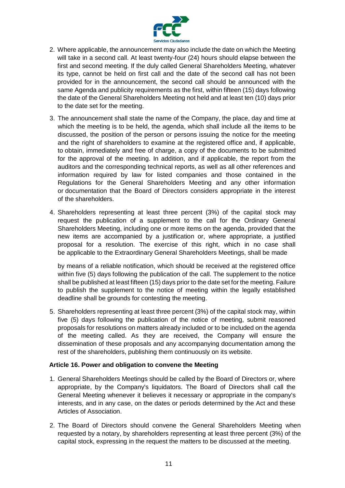

- 2. Where applicable, the announcement may also include the date on which the Meeting will take in a second call. At least twenty-four (24) hours should elapse between the first and second meeting. If the duly called General Shareholders Meeting, whatever its type, cannot be held on first call and the date of the second call has not been provided for in the announcement, the second call should be announced with the same Agenda and publicity requirements as the first, within fifteen (15) days following the date of the General Shareholders Meeting not held and at least ten (10) days prior to the date set for the meeting.
- 3. The announcement shall state the name of the Company, the place, day and time at which the meeting is to be held, the agenda, which shall include all the items to be discussed, the position of the person or persons issuing the notice for the meeting and the right of shareholders to examine at the registered office and, if applicable, to obtain, immediately and free of charge, a copy of the documents to be submitted for the approval of the meeting. In addition, and if applicable, the report from the auditors and the corresponding technical reports, as well as all other references and information required by law for listed companies and those contained in the Regulations for the General Shareholders Meeting and any other information or documentation that the Board of Directors considers appropriate in the interest of the shareholders.
- 4. Shareholders representing at least three percent (3%) of the capital stock may request the publication of a supplement to the call for the Ordinary General Shareholders Meeting, including one or more items on the agenda, provided that the new items are accompanied by a justification or, where appropriate, a justified proposal for a resolution. The exercise of this right, which in no case shall be applicable to the Extraordinary General Shareholders Meetings, shall be made

by means of a reliable notification, which should be received at the registered office within five (5) days following the publication of the call. The supplement to the notice shall be published at least fifteen (15) days prior to the date set for the meeting. Failure to publish the supplement to the notice of meeting within the legally established deadline shall be grounds for contesting the meeting.

5. Shareholders representing at least three percent (3%) of the capital stock may, within five (5) days following the publication of the notice of meeting, submit reasoned proposals for resolutions on matters already included or to be included on the agenda of the meeting called. As they are received, the Company will ensure the dissemination of these proposals and any accompanying documentation among the rest of the shareholders, publishing them continuously on its website.

### <span id="page-21-0"></span>**Article 16. Power and obligation to convene the Meeting**

- 1. General Shareholders Meetings should be called by the Board of Directors or, where appropriate, by the Company's liquidators. The Board of Directors shall call the General Meeting whenever it believes it necessary or appropriate in the company's interests, and in any case, on the dates or periods determined by the Act and these Articles of Association.
- 2. The Board of Directors should convene the General Shareholders Meeting when requested by a notary, by shareholders representing at least three percent (3%) of the capital stock, expressing in the request the matters to be discussed at the meeting.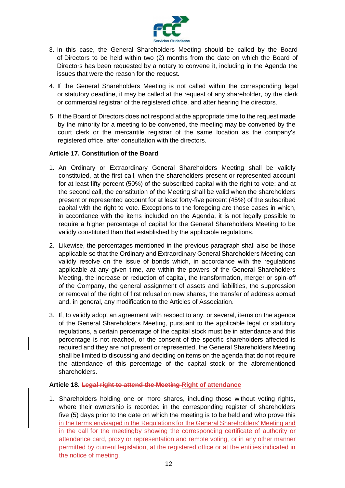

- 3. In this case, the General Shareholders Meeting should be called by the Board of Directors to be held within two (2) months from the date on which the Board of Directors has been requested by a notary to convene it, including in the Agenda the issues that were the reason for the request.
- 4. If the General Shareholders Meeting is not called within the corresponding legal or statutory deadline, it may be called at the request of any shareholder, by the clerk or commercial registrar of the registered office, and after hearing the directors.
- 5. If the Board of Directors does not respond at the appropriate time to the request made by the minority for a meeting to be convened, the meeting may be convened by the court clerk or the mercantile registrar of the same location as the company's registered office, after consultation with the directors.

## <span id="page-22-0"></span>**Article 17. Constitution of the Board**

- 1. An Ordinary or Extraordinary General Shareholders Meeting shall be validly constituted, at the first call, when the shareholders present or represented account for at least fifty percent (50%) of the subscribed capital with the right to vote; and at the second call, the constitution of the Meeting shall be valid when the shareholders present or represented account for at least forty-five percent (45%) of the subscribed capital with the right to vote. Exceptions to the foregoing are those cases in which, in accordance with the items included on the Agenda, it is not legally possible to require a higher percentage of capital for the General Shareholders Meeting to be validly constituted than that established by the applicable regulations.
- 2. Likewise, the percentages mentioned in the previous paragraph shall also be those applicable so that the Ordinary and Extraordinary General Shareholders Meeting can validly resolve on the issue of bonds which, in accordance with the regulations applicable at any given time, are within the powers of the General Shareholders Meeting, the increase or reduction of capital, the transformation, merger or spin-off of the Company, the general assignment of assets and liabilities, the suppression or removal of the right of first refusal on new shares, the transfer of address abroad and, in general, any modification to the Articles of Association.
- 3. If, to validly adopt an agreement with respect to any, or several, items on the agenda of the General Shareholders Meeting, pursuant to the applicable legal or statutory regulations, a certain percentage of the capital stock must be in attendance and this percentage is not reached, or the consent of the specific shareholders affected is required and they are not present or represented, the General Shareholders Meeting shall be limited to discussing and deciding on items on the agenda that do not require the attendance of this percentage of the capital stock or the aforementioned shareholders.

### <span id="page-22-1"></span>**Article 18. Legal right to attend the Meeting Right of attendance**

1. Shareholders holding one or more shares, including those without voting rights, where their ownership is recorded in the corresponding register of shareholders five (5) days prior to the date on which the meeting is to be held and who prove this in the terms envisaged in the Regulations for the General Shareholders' Meeting and in the call for the meetingby showing the corresponding certificate of authority or attendance card, proxy or representation and remote voting, or in any other manner permitted by current legislation, at the registered office or at the entities indicated in the notice of meeting.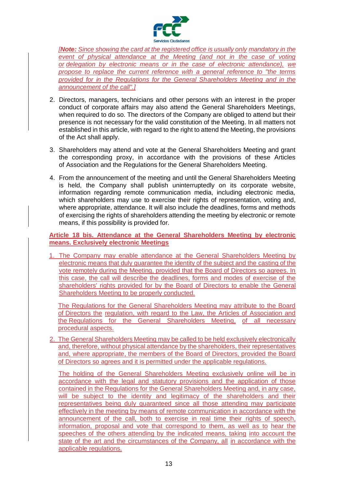

*[Note: Since showing the card at the registered office is usually only mandatory in the event of physical attendance at the Meeting (and not in the case of voting or delegation by electronic means or in the case of electronic attendance), we propose to replace the current reference with a general reference to "the terms provided for in the Regulations for the General Shareholders Meeting and in the announcement of the call".]*

- 2. Directors, managers, technicians and other persons with an interest in the proper conduct of corporate affairs may also attend the General Shareholders Meetings, when required to do so. The directors of the Company are obliged to attend but their presence is not necessary for the valid constitution of the Meeting. In all matters not established in this article, with regard to the right to attend the Meeting, the provisions of the Act shall apply.
- 3. Shareholders may attend and vote at the General Shareholders Meeting and grant the corresponding proxy, in accordance with the provisions of these Articles of Association and the Regulations for the General Shareholders Meeting.
- 4. From the announcement of the meeting and until the General Shareholders Meeting is held, the Company shall publish uninterruptedly on its corporate website, information regarding remote communication media, including electronic media, which shareholders may use to exercise their rights of representation, voting and, where appropriate, attendance. It will also include the deadlines, forms and methods of exercising the rights of shareholders attending the meeting by electronic or remote means, if this possibility is provided for.

<span id="page-23-0"></span>**Article 18 bis. Attendance at the General Shareholders Meeting by electronic means. Exclusively electronic Meetings**

1. The Company may enable attendance at the General Shareholders Meeting by electronic means that duly guarantee the identity of the subject and the casting of the vote remotely during the Meeting, provided that the Board of Directors so agrees. In this case, the call will describe the deadlines, forms and modes of exercise of the shareholders' rights provided for by the Board of Directors to enable the General Shareholders Meeting to be properly conducted.

The Regulations for the General Shareholders Meeting may attribute to the Board of Directors the regulation, with regard to the Law, the Articles of Association and the Regulations for the General Shareholders Meeting, of all necessary procedural aspects.

2. The General Shareholders Meeting may be called to be held exclusively electronically and, therefore, without physical attendance by the shareholders, their representatives and, where appropriate, the members of the Board of Directors, provided the Board of Directors so agrees and it is permitted under the applicable regulations.

The holding of the General Shareholders Meeting exclusively online will be in accordance with the legal and statutory provisions and the application of those contained in the Regulations for the General Shareholders Meeting and, in any case, will be subject to the identity and legitimacy of the shareholders and their representatives being duly guaranteed since all those attending may participate effectively in the meeting by means of remote communication in accordance with the announcement of the call, both to exercise in real time their rights of speech, information, proposal and vote that correspond to them, as well as to hear the speeches of the others attending by the indicated means, taking into account the state of the art and the circumstances of the Company, all in accordance with the applicable regulations.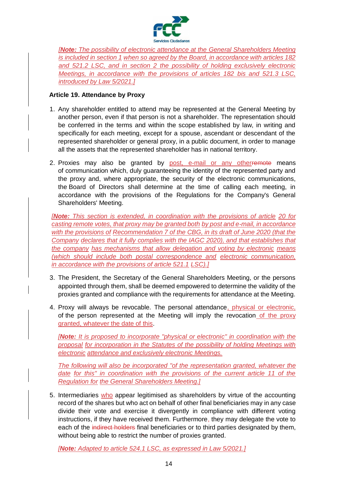

*[Note: The possibility of electronic attendance at the General Shareholders Meeting is included in section 1 when so agreed by the Board, in accordance with articles 182 and 521.2 LSC, and in section 2 the possibility of holding exclusively electronic Meetings, in accordance with the provisions of articles 182 bis and 521.3 LSC, introduced by Law 5/2021.]*

## <span id="page-24-0"></span>**Article 19. Attendance by Proxy**

- 1. Any shareholder entitled to attend may be represented at the General Meeting by another person, even if that person is not a shareholder. The representation should be conferred in the terms and within the scope established by law, in writing and specifically for each meeting, except for a spouse, ascendant or descendant of the represented shareholder or general proxy, in a public document, in order to manage all the assets that the represented shareholder has in national territory.
- 2. Proxies may also be granted by post, e-mail or any otherremote means of communication which, duly guaranteeing the identity of the represented party and the proxy and, where appropriate, the security of the electronic communications, the Board of Directors shall determine at the time of calling each meeting, in accordance with the provisions of the Regulations for the Company's General Shareholders' Meeting.

*[Note: This section is extended, in coordination with the provisions of article 20 for casting remote votes, that proxy may be granted both by post and e-mail, in accordance with the provisions of Recommendation 7 of the CBG, in its draft of June 2020 (that the Company declares that it fully complies with the IAGC 2020), and that establishes that the company has mechanisms that allow delegation and voting by electronic means (which should include both postal correspondence and electronic communication, in accordance with the provisions of article 521.1 LSC).]*

- 3. The President, the Secretary of the General Shareholders Meeting, or the persons appointed through them, shall be deemed empowered to determine the validity of the proxies granted and compliance with the requirements for attendance at the Meeting.
- 4. Proxy will always be revocable. The personal attendance, physical or electronic, of the person represented at the Meeting will imply the revocation of the proxy granted, whatever the date of this.

*[Note: It is proposed to incorporate "physical or electronic" in coordination with the proposal for incorporation in the Statutes of the possibility of holding Meetings with electronic attendance and exclusively electronic Meetings.*

*The following will also be incorporated "of the representation granted, whatever the date for this" in coordination with the provisions of the current article 11 of the Regulation for the General Shareholders Meeting.]*

5. Intermediaries who appear legitimised as shareholders by virtue of the accounting record of the shares but who act on behalf of other final beneficiaries may in any case divide their vote and exercise it divergently in compliance with different voting instructions, if they have received them. Furthermore, they may delegate the vote to each of the indirect holders final beneficiaries or to third parties designated by them, without being able to restrict the number of proxies granted.

*[Note: Adapted to article 524.1 LSC, as expressed in Law 5/2021.]*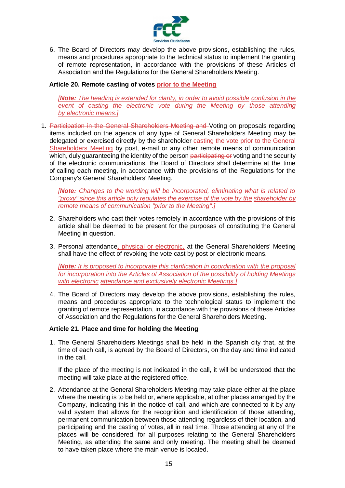

6. The Board of Directors may develop the above provisions, establishing the rules, means and procedures appropriate to the technical status to implement the granting of remote representation, in accordance with the provisions of these Articles of Association and the Regulations for the General Shareholders Meeting.

### <span id="page-25-0"></span>**Article 20. Remote casting of votes prior to the Meeting**

*[Note: The heading is extended for clarity, in order to avoid possible confusion in the event of casting the electronic vote during the Meeting by those attending by electronic means.]*

1. Participation in the General Shareholders Meeting and Voting on proposals regarding items included on the agenda of any type of General Shareholders Meeting may be delegated or exercised directly by the shareholder casting the vote prior to the General Shareholders Meeting by post, e-mail or any other remote means of communication which, duly quaranteeing the identity of the person participating or voting and the security of the electronic communications, the Board of Directors shall determine at the time of calling each meeting, in accordance with the provisions of the Regulations for the Company's General Shareholders' Meeting.

*[Note: Changes to the wording will be incorporated, eliminating what is related to "proxy" since this article only regulates the exercise of the vote by the shareholder by remote means of communication "prior to the Meeting".]*

- 2. Shareholders who cast their votes remotely in accordance with the provisions of this article shall be deemed to be present for the purposes of constituting the General Meeting in question.
- 3. Personal attendance, physical or electronic, at the General Shareholders' Meeting shall have the effect of revoking the vote cast by post or electronic means.

*[Note: It is proposed to incorporate this clarification in coordination with the proposal for incorporation into the Articles of Association of the possibility of holding Meetings with electronic attendance and exclusively electronic Meetings.]*

4. The Board of Directors may develop the above provisions, establishing the rules, means and procedures appropriate to the technological status to implement the granting of remote representation, in accordance with the provisions of these Articles of Association and the Regulations for the General Shareholders Meeting.

### <span id="page-25-1"></span>**Article 21. Place and time for holding the Meeting**

1. The General Shareholders Meetings shall be held in the Spanish city that, at the time of each call, is agreed by the Board of Directors, on the day and time indicated in the call.

If the place of the meeting is not indicated in the call, it will be understood that the meeting will take place at the registered office.

2. Attendance at the General Shareholders Meeting may take place either at the place where the meeting is to be held or, where applicable, at other places arranged by the Company, indicating this in the notice of call, and which are connected to it by any valid system that allows for the recognition and identification of those attending, permanent communication between those attending regardless of their location, and participating and the casting of votes, all in real time. Those attending at any of the places will be considered, for all purposes relating to the General Shareholders Meeting, as attending the same and only meeting. The meeting shall be deemed to have taken place where the main venue is located.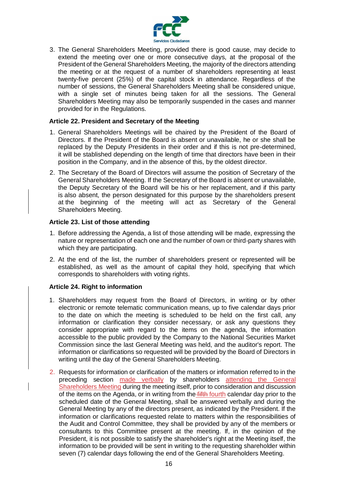

3. The General Shareholders Meeting, provided there is good cause, may decide to extend the meeting over one or more consecutive days, at the proposal of the President of the General Shareholders Meeting, the majority of the directors attending the meeting or at the request of a number of shareholders representing at least twenty-five percent (25%) of the capital stock in attendance. Regardless of the number of sessions, the General Shareholders Meeting shall be considered unique, with a single set of minutes being taken for all the sessions. The General Shareholders Meeting may also be temporarily suspended in the cases and manner provided for in the Regulations.

#### <span id="page-26-0"></span>**Article 22. President and Secretary of the Meeting**

- 1. General Shareholders Meetings will be chaired by the President of the Board of Directors. If the President of the Board is absent or unavailable, he or she shall be replaced by the Deputy Presidents in their order and if this is not pre-determined, it will be stablished depending on the length of time that directors have been in their position in the Company, and in the absence of this, by the oldest director.
- 2. The Secretary of the Board of Directors will assume the position of Secretary of the General Shareholders Meeting. If the Secretary of the Board is absent or unavailable, the Deputy Secretary of the Board will be his or her replacement, and if this party is also absent, the person designated for this purpose by the shareholders present at the beginning of the meeting will act as Secretary of the General Shareholders Meeting.

#### <span id="page-26-1"></span>**Article 23. List of those attending**

- 1. Before addressing the Agenda, a list of those attending will be made, expressing the nature or representation of each one and the number of own or third-party shares with which they are participating.
- 2. At the end of the list, the number of shareholders present or represented will be established, as well as the amount of capital they hold, specifying that which corresponds to shareholders with voting rights.

### <span id="page-26-2"></span>**Article 24. Right to information**

- 1. Shareholders may request from the Board of Directors, in writing or by other electronic or remote telematic communication means, up to five calendar days prior to the date on which the meeting is scheduled to be held on the first call, any information or clarification they consider necessary, or ask any questions they consider appropriate with regard to the items on the agenda, the information accessible to the public provided by the Company to the National Securities Market Commission since the last General Meeting was held, and the auditor's report. The information or clarifications so requested will be provided by the Board of Directors in writing until the day of the General Shareholders Meeting.
- 2. Requests for information or clarification of the matters or information referred to in the preceding section made verbally by shareholders attending the General Shareholders Meeting during the meeting itself, prior to consideration and discussion of the items on the Agenda, or in writing from the fifth fourth calendar day prior to the scheduled date of the General Meeting, shall be answered verbally and during the General Meeting by any of the directors present, as indicated by the President. If the information or clarifications requested relate to matters within the responsibilities of the Audit and Control Committee, they shall be provided by any of the members or consultants to this Committee present at the meeting. If, in the opinion of the President, it is not possible to satisfy the shareholder's right at the Meeting itself, the information to be provided will be sent in writing to the requesting shareholder within seven (7) calendar days following the end of the General Shareholders Meeting.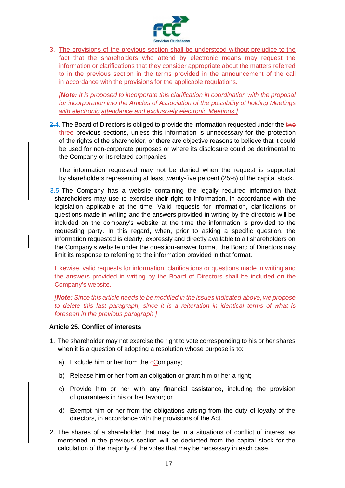

3. The provisions of the previous section shall be understood without prejudice to the fact that the shareholders who attend by electronic means may request the information or clarifications that they consider appropriate about the matters referred to in the previous section in the terms provided in the announcement of the call in accordance with the provisions for the applicable regulations.

*[Note: It is proposed to incorporate this clarification in coordination with the proposal for incorporation into the Articles of Association of the possibility of holding Meetings with electronic attendance and exclusively electronic Meetings.]*

 $2.4$ . The Board of Directors is obliged to provide the information requested under the two three previous sections, unless this information is unnecessary for the protection of the rights of the shareholder, or there are objective reasons to believe that it could be used for non-corporate purposes or where its disclosure could be detrimental to the Company or its related companies.

The information requested may not be denied when the request is supported by shareholders representing at least twenty-five percent (25%) of the capital stock.

3.5. The Company has a website containing the legally required information that shareholders may use to exercise their right to information, in accordance with the legislation applicable at the time. Valid requests for information, clarifications or questions made in writing and the answers provided in writing by the directors will be included on the company's website at the time the information is provided to the requesting party. In this regard, when, prior to asking a specific question, the information requested is clearly, expressly and directly available to all shareholders on the Company's website under the question-answer format, the Board of Directors may limit its response to referring to the information provided in that format.

Likewise, valid requests for information, clarifications or questions made in writing and the answers provided in writing by the Board of Directors shall be included on the Company's website.

*[Note: Since this article needs to be modified in the issues indicated above, we propose to delete this last paragraph, since it is a reiteration in identical terms of what is foreseen in the previous paragraph.]*

### <span id="page-27-0"></span>**Article 25. Conflict of interests**

- 1. The shareholder may not exercise the right to vote corresponding to his or her shares when it is a question of adopting a resolution whose purpose is to:
	- a) Exclude him or her from the  $e$ Company;
	- b) Release him or her from an obligation or grant him or her a right;
	- c) Provide him or her with any financial assistance, including the provision of guarantees in his or her favour; or
	- d) Exempt him or her from the obligations arising from the duty of loyalty of the directors, in accordance with the provisions of the Act.
- 2. The shares of a shareholder that may be in a situations of conflict of interest as mentioned in the previous section will be deducted from the capital stock for the calculation of the majority of the votes that may be necessary in each case.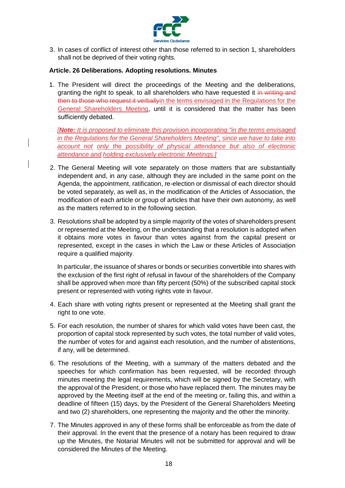

3. In cases of conflict of interest other than those referred to in section 1, shareholders shall not be deprived of their voting rights.

#### <span id="page-28-0"></span>**Article. 26 Deliberations. Adopting resolutions. Minutes**

1. The President will direct the proceedings of the Meeting and the deliberations, granting-the right to speak, to all shareholders who have requested it in writing and then to those who request it verbally in the terms envisaged in the Regulations for the General Shareholders Meeting, until it is considered that the matter has been sufficiently debated.

*[Note: It is proposed to eliminate this provision incorporating "in the terms envisaged in the Regulations for the General Shareholders Meeting", since we have to take into account not only the possibility of physical attendance but also of electronic attendance and holding exclusively electronic Meetings.]*

- 2. The General Meeting will vote separately on those matters that are substantially independent and, in any case, although they are included in the same point on the Agenda, the appointment, ratification, re-election or dismissal of each director should be voted separately, as well as, in the modification of the Articles of Association, the modification of each article or group of articles that have their own autonomy, as well as the matters referred to in the following section.
- 3. Resolutions shall be adopted by a simple majority of the votes of shareholders present or represented at the Meeting, on the understanding that a resolution is adopted when it obtains more votes in favour than votes against from the capital present or represented, except in the cases in which the Law or these Articles of Association require a qualified majority.

In particular, the issuance of shares or bonds or securities convertible into shares with the exclusion of the first right of refusal in favour of the shareholders of the Company shall be approved when more than fifty percent (50%) of the subscribed capital stock present or represented with voting rights vote in favour.

- 4. Each share with voting rights present or represented at the Meeting shall grant the right to one vote.
- 5. For each resolution, the number of shares for which valid votes have been cast, the proportion of capital stock represented by such votes, the total number of valid votes, the number of votes for and against each resolution, and the number of abstentions, if any, will be determined.
- 6. The resolutions of the Meeting, with a summary of the matters debated and the speeches for which confirmation has been requested, will be recorded through minutes meeting the legal requirements, which will be signed by the Secretary, with the approval of the President, or those who have replaced them. The minutes may be approved by the Meeting itself at the end of the meeting or, failing this, and within a deadline of fifteen (15) days, by the President of the General Shareholders Meeting and two (2) shareholders, one representing the majority and the other the minority.
- 7. The Minutes approved in any of these forms shall be enforceable as from the date of their approval. In the event that the presence of a notary has been required to draw up the Minutes, the Notarial Minutes will not be submitted for approval and will be considered the Minutes of the Meeting.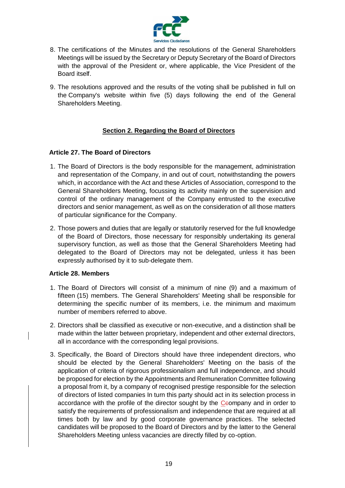

- 8. The certifications of the Minutes and the resolutions of the General Shareholders Meetings will be issued by the Secretary or Deputy Secretary of the Board of Directors with the approval of the President or, where applicable, the Vice President of the Board itself.
- 9. The resolutions approved and the results of the voting shall be published in full on the Company's website within five (5) days following the end of the General Shareholders Meeting.

# **Section 2. Regarding the Board of Directors**

## <span id="page-29-1"></span><span id="page-29-0"></span>**Article 27. The Board of Directors**

- 1. The Board of Directors is the body responsible for the management, administration and representation of the Company, in and out of court, notwithstanding the powers which, in accordance with the Act and these Articles of Association, correspond to the General Shareholders Meeting, focussing its activity mainly on the supervision and control of the ordinary management of the Company entrusted to the executive directors and senior management, as well as on the consideration of all those matters of particular significance for the Company.
- 2. Those powers and duties that are legally or statutorily reserved for the full knowledge of the Board of Directors, those necessary for responsibly undertaking its general supervisory function, as well as those that the General Shareholders Meeting had delegated to the Board of Directors may not be delegated, unless it has been expressly authorised by it to sub-delegate them.

### <span id="page-29-2"></span>**Article 28. Members**

- 1. The Board of Directors will consist of a minimum of nine (9) and a maximum of fifteen (15) members. The General Shareholders' Meeting shall be responsible for determining the specific number of its members, i.e. the minimum and maximum number of members referred to above.
- 2. Directors shall be classified as executive or non-executive, and a distinction shall be made within the latter between proprietary, independent and other external directors, all in accordance with the corresponding legal provisions.
- 3. Specifically, the Board of Directors should have three independent directors, who should be elected by the General Shareholders' Meeting on the basis of the application of criteria of rigorous professionalism and full independence, and should be proposed for election by the Appointments and Remuneration Committee following a proposal from it, by a company of recognised prestige responsible for the selection of directors of listed companies In turn this party should act in its selection process in accordance with the profile of the director sought by the Ceompany and in order to satisfy the requirements of professionalism and independence that are required at all times both by law and by good corporate governance practices. The selected candidates will be proposed to the Board of Directors and by the latter to the General Shareholders Meeting unless vacancies are directly filled by co-option.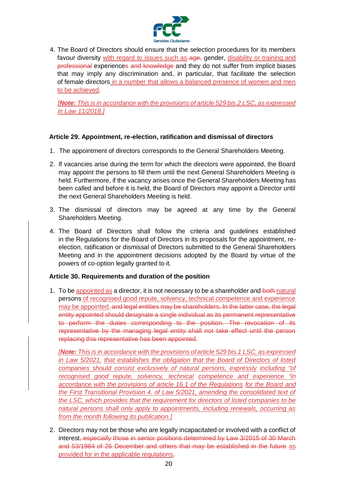

4. The Board of Directors should ensure that the selection procedures for its members favour diversity with regard to issues such as age, gender, disability or training and professional experiences and knowledge and they do not suffer from implicit biases that may imply any discrimination and, in particular, that facilitate the selection of female directors in a number that allows a balanced presence of women and men to be achieved.

*[Note: This is in accordance with the provisions of article 529 bis.2 LSC, as expressed in Law 11/2018.]*

# <span id="page-30-0"></span>**Article 29. Appointment, re-election, ratification and dismissal of directors**

- 1. The appointment of directors corresponds to the General Shareholders Meeting.
- 2. If vacancies arise during the term for which the directors were appointed, the Board may appoint the persons to fill them until the next General Shareholders Meeting is held. Furthermore, if the vacancy arises once the General Shareholders Meeting has been called and before it is held, the Board of Directors may appoint a Director until the next General Shareholders Meeting is held.
- 3. The dismissal of directors may be agreed at any time by the General Shareholders Meeting.
- 4. The Board of Directors shall follow the criteria and guidelines established in the Regulations for the Board of Directors in its proposals for the appointment, reelection, ratification or dismissal of Directors submitted to the General Shareholders Meeting and in the appointment decisions adopted by the Board by virtue of the powers of co-option legally granted to it.

# <span id="page-30-1"></span>**Article 30. Requirements and duration of the position**

1. To be appointed as a director, it is not necessary to be a shareholder and both natural persons of recognised good repute, solvency, technical competence and experience may be appointed. and legal entities may be shareholders. In the latter case, the legal entity appointed should designate a single individual as its permanent representative to perform the duties corresponding to the position. The revocation of its representative by the managing legal entity shall not take effect until the person replacing this representative has been appointed.

*[Note: This is in accordance with the provisions of article 529 bis.1 LSC, as expressed in Law 5/2021, that establishes the obligation that the Board of Directors of listed companies should consist exclusively of natural persons, expressly including "of recognised good repute, solvency, technical competence and experience "in accordance with the provisions of article 16.1 of the Regulations for the Board and the First Transitional Provision 4. of Law 5/2021, amending the consolidated text of the LSC, which provides that the requirement for directors of listed companies to be natural persons shall only apply to appointments, including renewals, occurring as from the month following its publication.]*

2. Directors may not be those who are legally incapacitated or involved with a conflict of interest, especially those in senior positions determined by Law 3/2015 of 30 March and 53/1984 of 26 December and others that may be established in the future as provided for in the applicable regulations.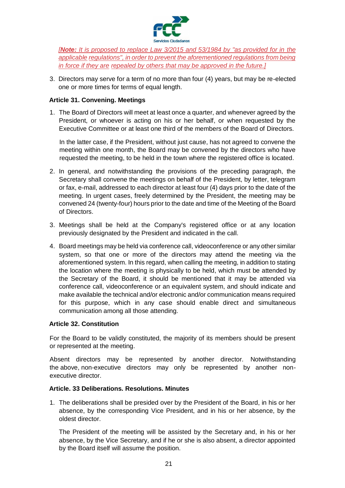

*[Note: It is proposed to replace Law 3/2015 and 53/1984 by "as provided for in the applicable regulations", in order to prevent the aforementioned regulations from being in force if they are repealed by others that may be approved in the future.]*

3. Directors may serve for a term of no more than four (4) years, but may be re-elected one or more times for terms of equal length.

### <span id="page-31-0"></span>**Article 31. Convening. Meetings**

1. The Board of Directors will meet at least once a quarter, and whenever agreed by the President, or whoever is acting on his or her behalf, or when requested by the Executive Committee or at least one third of the members of the Board of Directors.

In the latter case, if the President, without just cause, has not agreed to convene the meeting within one month, the Board may be convened by the directors who have requested the meeting, to be held in the town where the registered office is located.

- 2. In general, and notwithstanding the provisions of the preceding paragraph, the Secretary shall convene the meetings on behalf of the President, by letter, telegram or fax, e-mail, addressed to each director at least four (4) days prior to the date of the meeting. In urgent cases, freely determined by the President, the meeting may be convened 24 (twenty-four) hours prior to the date and time of the Meeting of the Board of Directors.
- 3. Meetings shall be held at the Company's registered office or at any location previously designated by the President and indicated in the call.
- 4. Board meetings may be held via conference call, videoconference or any other similar system, so that one or more of the directors may attend the meeting via the aforementioned system. In this regard, when calling the meeting, in addition to stating the location where the meeting is physically to be held, which must be attended by the Secretary of the Board, it should be mentioned that it may be attended via conference call, videoconference or an equivalent system, and should indicate and make available the technical and/or electronic and/or communication means required for this purpose, which in any case should enable direct and simultaneous communication among all those attending.

### <span id="page-31-1"></span>**Article 32. Constitution**

For the Board to be validly constituted, the majority of its members should be present or represented at the meeting.

Absent directors may be represented by another director. Notwithstanding the above, non-executive directors may only be represented by another nonexecutive director.

### <span id="page-31-2"></span>**Article. 33 Deliberations. Resolutions. Minutes**

1. The deliberations shall be presided over by the President of the Board, in his or her absence, by the corresponding Vice President, and in his or her absence, by the oldest director.

The President of the meeting will be assisted by the Secretary and, in his or her absence, by the Vice Secretary, and if he or she is also absent, a director appointed by the Board itself will assume the position.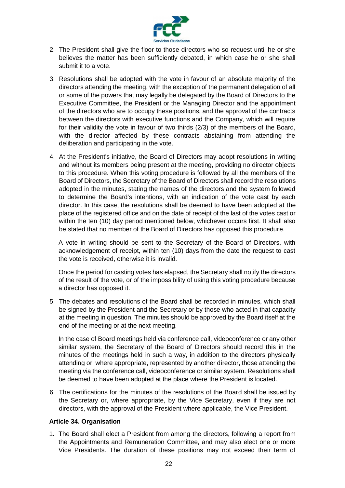

- 2. The President shall give the floor to those directors who so request until he or she believes the matter has been sufficiently debated, in which case he or she shall submit it to a vote.
- 3. Resolutions shall be adopted with the vote in favour of an absolute majority of the directors attending the meeting, with the exception of the permanent delegation of all or some of the powers that may legally be delegated by the Board of Directors to the Executive Committee, the President or the Managing Director and the appointment of the directors who are to occupy these positions, and the approval of the contracts between the directors with executive functions and the Company, which will require for their validity the vote in favour of two thirds (2/3) of the members of the Board, with the director affected by these contracts abstaining from attending the deliberation and participating in the vote.
- 4. At the President's initiative, the Board of Directors may adopt resolutions in writing and without its members being present at the meeting, providing no director objects to this procedure. When this voting procedure is followed by all the members of the Board of Directors, the Secretary of the Board of Directors shall record the resolutions adopted in the minutes, stating the names of the directors and the system followed to determine the Board's intentions, with an indication of the vote cast by each director. In this case, the resolutions shall be deemed to have been adopted at the place of the registered office and on the date of receipt of the last of the votes cast or within the ten (10) day period mentioned below, whichever occurs first. It shall also be stated that no member of the Board of Directors has opposed this procedure.

A vote in writing should be sent to the Secretary of the Board of Directors, with acknowledgement of receipt, within ten (10) days from the date the request to cast the vote is received, otherwise it is invalid.

Once the period for casting votes has elapsed, the Secretary shall notify the directors of the result of the vote, or of the impossibility of using this voting procedure because a director has opposed it.

5. The debates and resolutions of the Board shall be recorded in minutes, which shall be signed by the President and the Secretary or by those who acted in that capacity at the meeting in question. The minutes should be approved by the Board itself at the end of the meeting or at the next meeting.

In the case of Board meetings held via conference call, videoconference or any other similar system, the Secretary of the Board of Directors should record this in the minutes of the meetings held in such a way, in addition to the directors physically attending or, where appropriate, represented by another director, those attending the meeting via the conference call, videoconference or similar system. Resolutions shall be deemed to have been adopted at the place where the President is located.

6. The certifications for the minutes of the resolutions of the Board shall be issued by the Secretary or, where appropriate, by the Vice Secretary, even if they are not directors, with the approval of the President where applicable, the Vice President.

### <span id="page-32-0"></span>**Article 34. Organisation**

1. The Board shall elect a President from among the directors, following a report from the Appointments and Remuneration Committee, and may also elect one or more Vice Presidents. The duration of these positions may not exceed their term of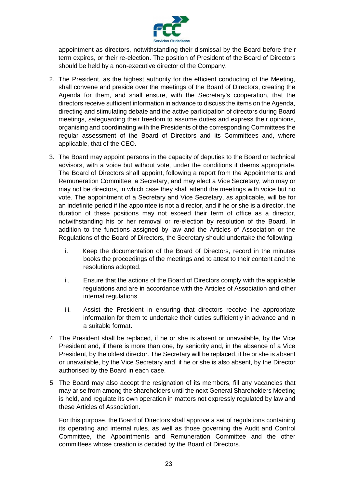

appointment as directors, notwithstanding their dismissal by the Board before their term expires, or their re-election. The position of President of the Board of Directors should be held by a non-executive director of the Company.

- 2. The President, as the highest authority for the efficient conducting of the Meeting, shall convene and preside over the meetings of the Board of Directors, creating the Agenda for them, and shall ensure, with the Secretary's cooperation, that the directors receive sufficient information in advance to discuss the items on the Agenda, directing and stimulating debate and the active participation of directors during Board meetings, safeguarding their freedom to assume duties and express their opinions, organising and coordinating with the Presidents of the corresponding Committees the regular assessment of the Board of Directors and its Committees and, where applicable, that of the CEO.
- 3. The Board may appoint persons in the capacity of deputies to the Board or technical advisors, with a voice but without vote, under the conditions it deems appropriate. The Board of Directors shall appoint, following a report from the Appointments and Remuneration Committee, a Secretary, and may elect a Vice Secretary, who may or may not be directors, in which case they shall attend the meetings with voice but no vote. The appointment of a Secretary and Vice Secretary, as applicable, will be for an indefinite period if the appointee is not a director, and if he or she is a director, the duration of these positions may not exceed their term of office as a director, notwithstanding his or her removal or re-election by resolution of the Board. In addition to the functions assigned by law and the Articles of Association or the Regulations of the Board of Directors, the Secretary should undertake the following:
	- i. Keep the documentation of the Board of Directors, record in the minutes books the proceedings of the meetings and to attest to their content and the resolutions adopted.
	- ii. Ensure that the actions of the Board of Directors comply with the applicable regulations and are in accordance with the Articles of Association and other internal regulations.
	- iii. Assist the President in ensuring that directors receive the appropriate information for them to undertake their duties sufficiently in advance and in a suitable format.
- 4. The President shall be replaced, if he or she is absent or unavailable, by the Vice President and, if there is more than one, by seniority and, in the absence of a Vice President, by the oldest director. The Secretary will be replaced, if he or she is absent or unavailable, by the Vice Secretary and, if he or she is also absent, by the Director authorised by the Board in each case.
- 5. The Board may also accept the resignation of its members, fill any vacancies that may arise from among the shareholders until the next General Shareholders Meeting is held, and regulate its own operation in matters not expressly regulated by law and these Articles of Association.

For this purpose, the Board of Directors shall approve a set of regulations containing its operating and internal rules, as well as those governing the Audit and Control Committee, the Appointments and Remuneration Committee and the other committees whose creation is decided by the Board of Directors.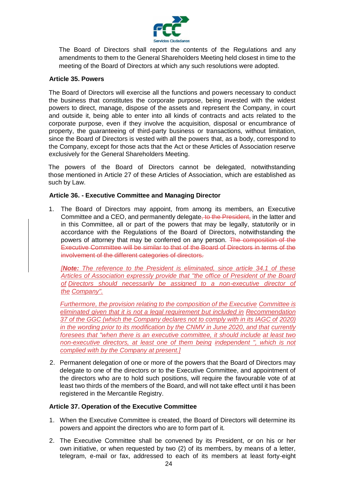

The Board of Directors shall report the contents of the Regulations and any amendments to them to the General Shareholders Meeting held closest in time to the meeting of the Board of Directors at which any such resolutions were adopted.

#### <span id="page-34-0"></span>**Article 35. Powers**

The Board of Directors will exercise all the functions and powers necessary to conduct the business that constitutes the corporate purpose, being invested with the widest powers to direct, manage, dispose of the assets and represent the Company, in court and outside it, being able to enter into all kinds of contracts and acts related to the corporate purpose, even if they involve the acquisition, disposal or encumbrance of property, the guaranteeing of third-party business or transactions, without limitation, since the Board of Directors is vested with all the powers that, as a body, correspond to the Company, except for those acts that the Act or these Articles of Association reserve exclusively for the General Shareholders Meeting.

The powers of the Board of Directors cannot be delegated, notwithstanding those mentioned in Article 27 of these Articles of Association, which are established as such by Law.

#### <span id="page-34-1"></span>**Article 36. - Executive Committee and Managing Director**

1. The Board of Directors may appoint, from among its members, an Executive Committee and a CEO, and permanently delegate, to the President, in the latter and in this Committee, all or part of the powers that may be legally, statutorily or in accordance with the Regulations of the Board of Directors, notwithstanding the powers of attorney that may be conferred on any person. The composition of the Executive Committee will be similar to that of the Board of Directors in terms of the involvement of the different categories of directors.

*[Note: The reference to the President is eliminated, since article 34.1 of these Articles of Association expressly provide that "the office of President of the Board of Directors should necessarily be assigned to a non-executive director of the Company".*

*Furthermore, the provision relating to the composition of the Executive Committee is eliminated given that it is not a legal requirement but included in Recommendation 37 of the GGC (which the Company declares not to comply with in its IAGC of 2020) in the wording prior to its modification by the CNMV in June 2020, and that currently foresees that "when there is an executive committee, it should include at least two non-executive directors, at least one of them being independent ", which is not complied with by the Company at present.]*

2. Permanent delegation of one or more of the powers that the Board of Directors may delegate to one of the directors or to the Executive Committee, and appointment of the directors who are to hold such positions, will require the favourable vote of at least two thirds of the members of the Board, and will not take effect until it has been registered in the Mercantile Registry.

### <span id="page-34-2"></span>**Article 37. Operation of the Executive Committee**

- 1. When the Executive Committee is created, the Board of Directors will determine its powers and appoint the directors who are to form part of it.
- 2. The Executive Committee shall be convened by its President, or on his or her own initiative, or when requested by two (2) of its members, by means of a letter, telegram, e-mail or fax, addressed to each of its members at least forty-eight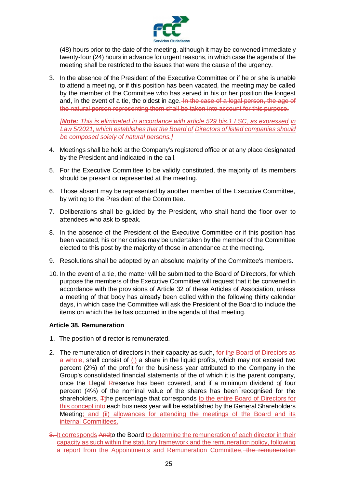

(48) hours prior to the date of the meeting, although it may be convened immediately twenty-four (24) hours in advance for urgent reasons, in which case the agenda of the meeting shall be restricted to the issues that were the cause of the urgency.

3. In the absence of the President of the Executive Committee or if he or she is unable to attend a meeting, or if this position has been vacated, the meeting may be called by the member of the Committee who has served in his or her position the longest and, in the event of a tie, the oldest in age. In the case of a legal person, the age of the natural person representing them shall be taken into account for this purpose.

*[Note: This is eliminated in accordance with article 529 bis.1 LSC, as expressed in Law 5/2021, which establishes that the Board of Directors of listed companies should be composed solely of natural persons.]*

- 4. Meetings shall be held at the Company's registered office or at any place designated by the President and indicated in the call.
- 5. For the Executive Committee to be validly constituted, the majority of its members should be present or represented at the meeting.
- 6. Those absent may be represented by another member of the Executive Committee, by writing to the President of the Committee.
- 7. Deliberations shall be guided by the President, who shall hand the floor over to attendees who ask to speak.
- 8. In the absence of the President of the Executive Committee or if this position has been vacated, his or her duties may be undertaken by the member of the Committee elected to this post by the majority of those in attendance at the meeting.
- 9. Resolutions shall be adopted by an absolute majority of the Committee's members.
- 10. In the event of a tie, the matter will be submitted to the Board of Directors, for which purpose the members of the Executive Committee will request that it be convened in accordance with the provisions of Article 32 of these Articles of Association, unless a meeting of that body has already been called within the following thirty calendar days, in which case the Committee will ask the President of the Board to include the items on which the tie has occurred in the agenda of that meeting.

### <span id="page-35-0"></span>**Article 38. Remuneration**

- 1. The position of director is remunerated.
- 2. The remuneration of directors in their capacity as such, for the Board of Directors as a whole, shall consist of (i) a share in the liquid profits, which may not exceed two percent (2%) of the profit for the business year attributed to the Company in the Group's consolidated financial statements of the of which it is the parent company, once the Llegal Rreserve has been covered, and if a minimum dividend of four percent (4%) of the nominal value of the shares has been recognised for the shareholders, Tthe percentage that corresponds to the entire Board of Directors for this concept into each business year will be established by the General Shareholders Meeting; and (ii) allowances for attending the meetings of the Board and its internal Committees.
- 3. It corresponds Andto the Board to determine the remuneration of each director in their capacity as such within the statutory framework and the remuneration policy, following a report from the Appointments and Remuneration Committee, the remuneration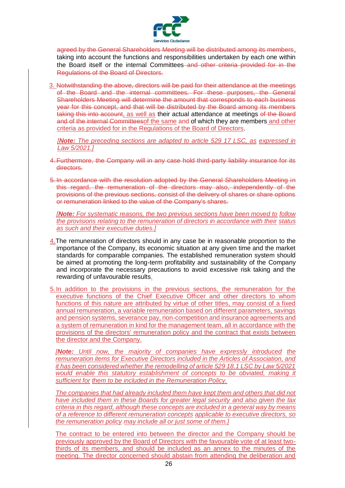

agreed by the General Shareholders Meeting will be distributed among its members, taking into account the functions and responsibilities undertaken by each one within the Board itself or the internal Committees–and other criteria provided for in the Regulations of the Board of Directors.

3. Notwithstanding the above, directors will be paid for their attendance at the meetings of the Board and the internal committees. For these purposes, the General Shareholders Meeting will determine the amount that corresponds to each business year for this concept, and that will be distributed by the Board among its members taking this into account, as well as their actual attendance at meetings of the Board and of the internal Committeesof the same and of which they are members and other criteria as provided for in the Regulations of the Board of Directors.

*[Note: The preceding sections are adapted to article 529 17 LSC, as expressed in Law 5/2021.]*

- 4. Furthermore, the Company will in any case hold third-party liability insurance for its directors.
- 5. In accordance with the resolution adopted by the General Shareholders Meeting in this regard, the remuneration of the directors may also, independently of the provisions of the previous sections, consist of the delivery of shares or share options or remuneration linked to the value of the Company's shares.

*[Note: For systematic reasons, the two previous sections have been moved to follow the provisions relating to the remuneration of directors in accordance with their status as such and their executive duties.]*

- 4.The remuneration of directors should in any case be in reasonable proportion to the importance of the Company, its economic situation at any given time and the market standards for comparable companies. The established remuneration system should be aimed at promoting the long-term profitability and sustainability of the Company and incorporate the necessary precautions to avoid excessive risk taking and the rewarding of unfavourable results.
- 5.In addition to the provisions in the previous sections, the remuneration for the executive functions of the Chief Executive Officer and other directors to whom functions of this nature are attributed by virtue of other titles, may consist of a fixed annual remuneration, a variable remuneration based on different parameters, savings and pension systems, severance pay, non-competition and insurance agreements and a system of remuneration in kind for the management team, all in accordance with the provisions of the directors' remuneration policy and the contract that exists between the director and the Company.

*[Note: Until now, the majority of companies have expressly introduced the remuneration items for Executive Directors included in the Articles of Association, and it has been considered whether the remodelling of article 529 18.1 LSC by Law 5/2021* would enable this statutory establishment of concepts to be obviated, making it *sufficient for them to be included in the Remuneration Policy.*

*The companies that had already included them have kept them and others that did not have included them in these Boards for greater legal security and also given the tax criteria in this regard, although these concepts are included in a general way by means of a reference to different remuneration concepts applicable to executive directors, so the remuneration policy may include all or just some of them.]*

The contract to be entered into between the director and the Company should be previously approved by the Board of Directors with the favourable vote of at least twothirds of its members, and should be included as an annex to the minutes of the meeting. The director concerned should abstain from attending the deliberation and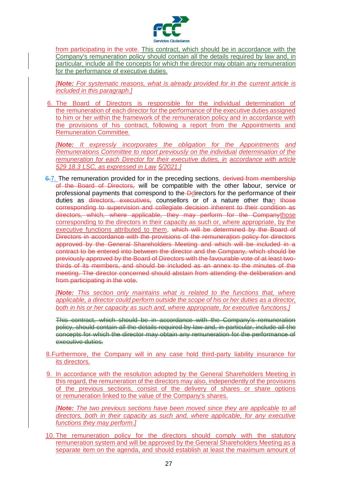

from participating in the vote. This contract, which should be in accordance with the Company's remuneration policy should contain all the details required by law and, in particular, include all the concepts for which the director may obtain any remuneration for the performance of executive duties.

*[Note: For systematic reasons, what is already provided for in the current article is included in this paragraph.]*

6. The Board of Directors is responsible for the individual determination of the remuneration of each director for the performance of the executive duties assigned to him or her within the framework of the remuneration policy and in accordance with the provisions of his contract, following a report from the Appointments and Remuneration Committee.

*[Note: It expressly incorporates the obligation for the Appointments and Remunerations Committee to report previously on the individual determination of the remuneration for each Director for their executive duties, in accordance with article 529 18.3 LSC, as expressed in Law 5/2021.]*

6.7. The remuneration provided for in the preceding sections, derived from membership of the Board of Directors, will be compatible with the other labour, service or professional payments that correspond to the Ddirectors for the performance of their duties as directors, executives, counsellors or of a nature other than those corresponding to supervision and collegiate decision inherent to their condition as directors, which, where applicable, they may perform for the Companythose corresponding to the directors in their capacity as such or, where appropriate, by the executive functions attributed to them, which will be determined by the Board of Directors in accordance with the provisions of the remuneration policy for directors approved by the General Shareholders Meeting and which will be included in a contract to be entered into between the director and the Company, which should be previously approved by the Board of Directors with the favourable vote of at least twothirds of its members, and should be included as an annex to the minutes of the meeting. The director concerned should abstain from attending the deliberation and from participating in the vote.

*[Note: This section only maintains what is related to the functions that, where applicable, a director could perform outside the scope of his or her duties as a director, both in his or her capacity as such and, where appropriate, for executive functions.]*

This contract, which should be in accordance with the Company's remuneration policy, should contain all the details required by law and, in particular, include all the concepts for which the director may obtain any remuneration for the performance of executive duties.

- 8.Furthermore, the Company will in any case hold third-party liability insurance for its directors.
- 9. In accordance with the resolution adopted by the General Shareholders Meeting in this regard, the remuneration of the directors may also, independently of the provisions of the previous sections, consist of the delivery of shares or share options or remuneration linked to the value of the Company's shares.

*[Note: The two previous sections have been moved since they are applicable to all directors, both in their capacity as such and, where applicable, for any executive functions they may perform.]*

10. The remuneration policy for the directors should comply with the statutory remuneration system and will be approved by the General Shareholders Meeting as a separate item on the agenda, and should establish at least the maximum amount of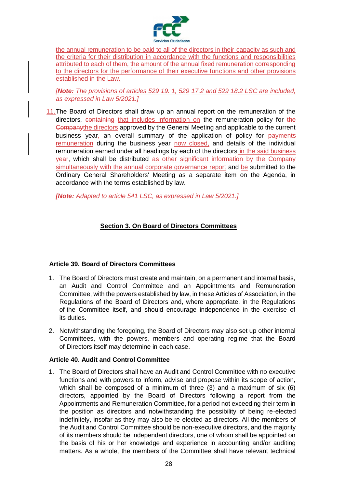

the annual remuneration to be paid to all of the directors in their capacity as such and the criteria for their distribution in accordance with the functions and responsibilities attributed to each of them, the amount of the annual fixed remuneration corresponding to the directors for the performance of their executive functions and other provisions established in the Law.

*[Note: The provisions of articles 529 19. 1, 529 17.2 and 529 18.2 LSC are included, as expressed in Law 5/2021.]*

11.The Board of Directors shall draw up an annual report on the remuneration of the directors, containing that includes information on the remuneration policy for the Companythe directors approved by the General Meeting and applicable to the current business year, an overall summary of the application of policy for-payments remuneration during the business year now closed, and details of the individual remuneration earned under all headings by each of the directors in the said business year, which shall be distributed as other significant information by the Company simultaneously with the annual corporate governance report and be submitted to the Ordinary General Shareholders' Meeting as a separate item on the Agenda, in accordance with the terms established by law.

<span id="page-38-0"></span>*[Note: Adapted to article 541 LSC, as expressed in Law 5/2021.]*

# **Section 3. On Board of Directors Committees**

### <span id="page-38-1"></span>**Article 39. Board of Directors Committees**

- 1. The Board of Directors must create and maintain, on a permanent and internal basis, an Audit and Control Committee and an Appointments and Remuneration Committee, with the powers established by law, in these Articles of Association, in the Regulations of the Board of Directors and, where appropriate, in the Regulations of the Committee itself, and should encourage independence in the exercise of its duties.
- 2. Notwithstanding the foregoing, the Board of Directors may also set up other internal Committees, with the powers, members and operating regime that the Board of Directors itself may determine in each case.

# <span id="page-38-2"></span>**Article 40. Audit and Control Committee**

1. The Board of Directors shall have an Audit and Control Committee with no executive functions and with powers to inform, advise and propose within its scope of action, which shall be composed of a minimum of three (3) and a maximum of six (6) directors, appointed by the Board of Directors following a report from the Appointments and Remuneration Committee, for a period not exceeding their term in the position as directors and notwithstanding the possibility of being re-elected indefinitely, insofar as they may also be re-elected as directors. All the members of the Audit and Control Committee should be non-executive directors, and the majority of its members should be independent directors, one of whom shall be appointed on the basis of his or her knowledge and experience in accounting and/or auditing matters. As a whole, the members of the Committee shall have relevant technical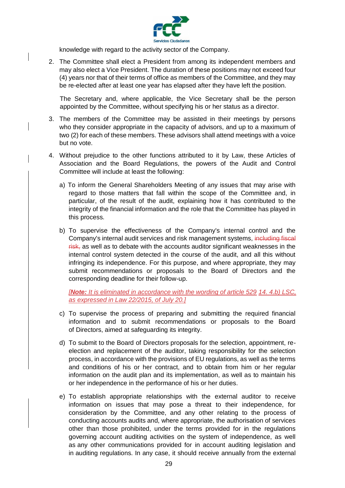

knowledge with regard to the activity sector of the Company.

2. The Committee shall elect a President from among its independent members and may also elect a Vice President. The duration of these positions may not exceed four (4) years nor that of their terms of office as members of the Committee, and they may be re-elected after at least one year has elapsed after they have left the position.

The Secretary and, where applicable, the Vice Secretary shall be the person appointed by the Committee, without specifying his or her status as a director.

- 3. The members of the Committee may be assisted in their meetings by persons who they consider appropriate in the capacity of advisors, and up to a maximum of two (2) for each of these members. These advisors shall attend meetings with a voice but no vote.
- 4. Without prejudice to the other functions attributed to it by Law, these Articles of Association and the Board Regulations, the powers of the Audit and Control Committee will include at least the following:
	- a) To inform the General Shareholders Meeting of any issues that may arise with regard to those matters that fall within the scope of the Committee and, in particular, of the result of the audit, explaining how it has contributed to the integrity of the financial information and the role that the Committee has played in this process.
	- b) To supervise the effectiveness of the Company's internal control and the Company's internal audit services and risk management systems, including fiscal risk, as well as to debate with the accounts auditor significant weaknesses in the internal control system detected in the course of the audit, and all this without infringing its independence. For this purpose, and where appropriate, they may submit recommendations or proposals to the Board of Directors and the corresponding deadline for their follow-up.

*[Note: It is eliminated in accordance with the wording of article 529 14. 4.b) LSC, as expressed in Law 22/2015, of July 20.]*

- c) To supervise the process of preparing and submitting the required financial information and to submit recommendations or proposals to the Board of Directors, aimed at safeguarding its integrity.
- d) To submit to the Board of Directors proposals for the selection, appointment, reelection and replacement of the auditor, taking responsibility for the selection process, in accordance with the provisions of EU regulations, as well as the terms and conditions of his or her contract, and to obtain from him or her regular information on the audit plan and its implementation, as well as to maintain his or her independence in the performance of his or her duties.
- e) To establish appropriate relationships with the external auditor to receive information on issues that may pose a threat to their independence, for consideration by the Committee, and any other relating to the process of conducting accounts audits and, where appropriate, the authorisation of services other than those prohibited, under the terms provided for in the regulations governing account auditing activities on the system of independence, as well as any other communications provided for in account auditing legislation and in auditing regulations. In any case, it should receive annually from the external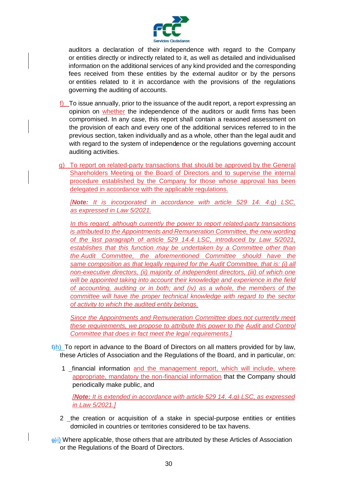

auditors a declaration of their independence with regard to the Company or entities directly or indirectly related to it, as well as detailed and individualised information on the additional services of any kind provided and the corresponding fees received from these entities by the external auditor or by the persons or entities related to it in accordance with the provisions of the regulations governing the auditing of accounts.

- f) To issue annually, prior to the issuance of the audit report, a report expressing an opinion on whether the independence of the auditors or audit firms has been compromised. In any case, this report shall contain a reasoned assessment on the provision of each and every one of the additional services referred to in the previous section, taken individually and as a whole, other than the legal audit and with regard to the system of independence or the regulations governing account auditing activities.
- g) To report on related-party transactions that should be approved by the General Shareholders Meeting or the Board of Directors and to supervise the internal procedure established by the Company for those whose approval has been delegated in accordance with the applicable regulations.

*[Note: It is incorporated in accordance with article 529 14. 4.g) LSC, as expressed in Law 5/2021.*

*In this regard, although currently the power to report related-party transactions is attributed to the Appointments and Remuneration Committee, the new wording of the last paragraph of article 529 14.4 LSC, introduced by Law 5/2021, establishes that this function may be undertaken by a Committee other than the Audit Committee, the aforementioned Committee should have the same composition as that legally required for the Audit Committee, that is: (i) all non-executive directors, (ii) majority of independent directors, (iii) of which one will be appointed taking into account their knowledge and experience in the field of accounting, auditing or in both; and (iv) as a whole, the members of the committee will have the proper technical knowledge with regard to the sector of activity to which the audited entity belongs.*

*Since the Appointments and Remuneration Committee does not currently meet these requirements, we propose to attribute this power to the Audit and Control Committee that does in fact meet the legal requirements.]*

- $f(h)$  To report in advance to the Board of Directors on all matters provided for by law, these Articles of Association and the Regulations of the Board, and in particular, on:
	- 1 \_financial information and the management report, which will include, where appropriate, mandatory the non-financial information that the Company should periodically make public, and

*[Note: It is extended in accordance with article 529 14. 4.g) LSC, as expressed in Law 5/2021.]*

- 2 \_the creation or acquisition of a stake in special-purpose entities or entities domiciled in countries or territories considered to be tax havens.
- $\theta$ i) Where applicable, those others that are attributed by these Articles of Association or the Regulations of the Board of Directors.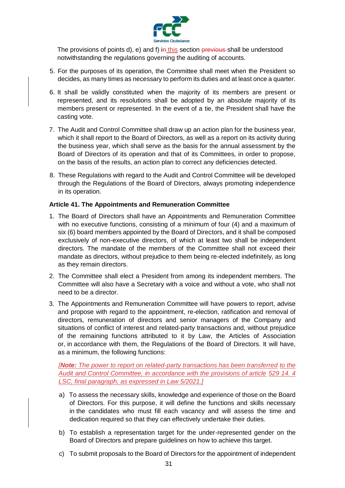

The provisions of points d), e) and f) in this section previous shall be understood notwithstanding the regulations governing the auditing of accounts.

- 5. For the purposes of its operation, the Committee shall meet when the President so decides, as many times as necessary to perform its duties and at least once a quarter.
- 6. It shall be validly constituted when the majority of its members are present or represented, and its resolutions shall be adopted by an absolute majority of its members present or represented. In the event of a tie, the President shall have the casting vote.
- 7. The Audit and Control Committee shall draw up an action plan for the business year, which it shall report to the Board of Directors, as well as a report on its activity during the business year, which shall serve as the basis for the annual assessment by the Board of Directors of its operation and that of its Committees, in order to propose, on the basis of the results, an action plan to correct any deficiencies detected.
- 8. These Regulations with regard to the Audit and Control Committee will be developed through the Regulations of the Board of Directors, always promoting independence in its operation.

### <span id="page-41-0"></span>**Article 41. The Appointments and Remuneration Committee**

- 1. The Board of Directors shall have an Appointments and Remuneration Committee with no executive functions, consisting of a minimum of four (4) and a maximum of six (6) board members appointed by the Board of Directors, and it shall be composed exclusively of non-executive directors, of which at least two shall be independent directors. The mandate of the members of the Committee shall not exceed their mandate as directors, without prejudice to them being re-elected indefinitely, as long as they remain directors.
- 2. The Committee shall elect a President from among its independent members. The Committee will also have a Secretary with a voice and without a vote, who shall not need to be a director.
- 3. The Appointments and Remuneration Committee will have powers to report, advise and propose with regard to the appointment, re-election, ratification and removal of directors, remuneration of directors and senior managers of the Company and situations of conflict of interest and related-party transactions and, without prejudice of the remaining functions attributed to it by Law, the Articles of Association or, in accordance with them, the Regulations of the Board of Directors. It will have, as a minimum, the following functions:

*[Note: The power to report on related-party transactions has been transferred to the Audit and Control Committee, in accordance with the provisions of article 529 14. 4 LSC, final paragraph, as expressed in Law 5/2021.]*

- a) To assess the necessary skills, knowledge and experience of those on the Board of Directors. For this purpose, it will define the functions and skills necessary in the candidates who must fill each vacancy and will assess the time and dedication required so that they can effectively undertake their duties.
- b) To establish a representation target for the under-represented gender on the Board of Directors and prepare guidelines on how to achieve this target.
- c) To submit proposals to the Board of Directors for the appointment of independent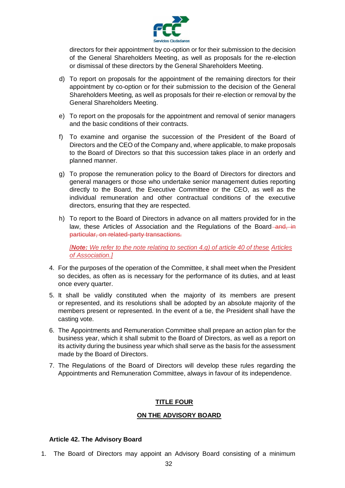

directors for their appointment by co-option or for their submission to the decision of the General Shareholders Meeting, as well as proposals for the re-election or dismissal of these directors by the General Shareholders Meeting.

- d) To report on proposals for the appointment of the remaining directors for their appointment by co-option or for their submission to the decision of the General Shareholders Meeting, as well as proposals for their re-election or removal by the General Shareholders Meeting.
- e) To report on the proposals for the appointment and removal of senior managers and the basic conditions of their contracts.
- f) To examine and organise the succession of the President of the Board of Directors and the CEO of the Company and, where applicable, to make proposals to the Board of Directors so that this succession takes place in an orderly and planned manner.
- g) To propose the remuneration policy to the Board of Directors for directors and general managers or those who undertake senior management duties reporting directly to the Board, the Executive Committee or the CEO, as well as the individual remuneration and other contractual conditions of the executive directors, ensuring that they are respected.
- h) To report to the Board of Directors in advance on all matters provided for in the law, these Articles of Association and the Regulations of the Board-and, in particular, on related-party transactions.

*[Note: We refer to the note relating to section 4.g) of article 40 of these Articles of Association.]*

- 4. For the purposes of the operation of the Committee, it shall meet when the President so decides, as often as is necessary for the performance of its duties, and at least once every quarter.
- 5. It shall be validly constituted when the majority of its members are present or represented, and its resolutions shall be adopted by an absolute majority of the members present or represented. In the event of a tie, the President shall have the casting vote.
- 6. The Appointments and Remuneration Committee shall prepare an action plan for the business year, which it shall submit to the Board of Directors, as well as a report on its activity during the business year which shall serve as the basis for the assessment made by the Board of Directors.
- <span id="page-42-0"></span>7. The Regulations of the Board of Directors will develop these rules regarding the Appointments and Remuneration Committee, always in favour of its independence.

# **TITLE FOUR**

### **ON THE ADVISORY BOARD**

#### <span id="page-42-2"></span><span id="page-42-1"></span>**Article 42. The Advisory Board**

1. The Board of Directors may appoint an Advisory Board consisting of a minimum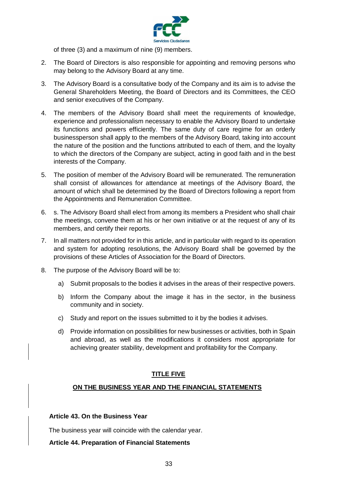

of three (3) and a maximum of nine (9) members.

- 2. The Board of Directors is also responsible for appointing and removing persons who may belong to the Advisory Board at any time.
- 3. The Advisory Board is a consultative body of the Company and its aim is to advise the General Shareholders Meeting, the Board of Directors and its Committees, the CEO and senior executives of the Company.
- 4. The members of the Advisory Board shall meet the requirements of knowledge, experience and professionalism necessary to enable the Advisory Board to undertake its functions and powers efficiently. The same duty of care regime for an orderly businessperson shall apply to the members of the Advisory Board, taking into account the nature of the position and the functions attributed to each of them, and the loyalty to which the directors of the Company are subject, acting in good faith and in the best interests of the Company.
- 5. The position of member of the Advisory Board will be remunerated. The remuneration shall consist of allowances for attendance at meetings of the Advisory Board, the amount of which shall be determined by the Board of Directors following a report from the Appointments and Remuneration Committee.
- 6. s. The Advisory Board shall elect from among its members a President who shall chair the meetings, convene them at his or her own initiative or at the request of any of its members, and certify their reports.
- 7. In all matters not provided for in this article, and in particular with regard to its operation and system for adopting resolutions, the Advisory Board shall be governed by the provisions of these Articles of Association for the Board of Directors.
- 8. The purpose of the Advisory Board will be to:
	- a) Submit proposals to the bodies it advises in the areas of their respective powers.
	- b) Inform the Company about the image it has in the sector, in the business community and in society.
	- c) Study and report on the issues submitted to it by the bodies it advises.
	- d) Provide information on possibilities for new businesses or activities, both in Spain and abroad, as well as the modifications it considers most appropriate for achieving greater stability, development and profitability for the Company.

### **TITLE FIVE**

### <span id="page-43-1"></span><span id="page-43-0"></span>**ON THE BUSINESS YEAR AND THE FINANCIAL STATEMENTS**

### <span id="page-43-2"></span>**Article 43. On the Business Year**

The business year will coincide with the calendar year.

### <span id="page-43-3"></span>**Article 44. Preparation of Financial Statements**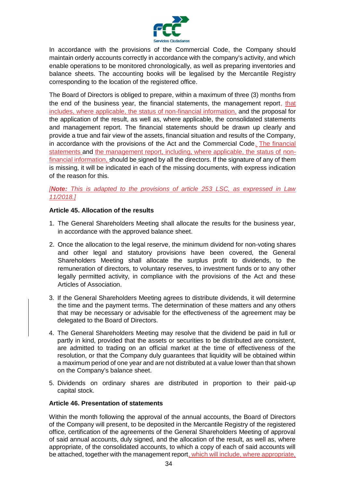

In accordance with the provisions of the Commercial Code, the Company should maintain orderly accounts correctly in accordance with the company's activity, and which enable operations to be monitored chronologically, as well as preparing inventories and balance sheets. The accounting books will be legalised by the Mercantile Registry corresponding to the location of the registered office.

The Board of Directors is obliged to prepare, within a maximum of three (3) months from the end of the business year, the financial statements, the management report, that includes, where applicable, the status of non-financial information, and the proposal for the application of the result, as well as, where applicable, the consolidated statements and management report. The financial statements should be drawn up clearly and provide a true and fair view of the assets, financial situation and results of the Company, in accordance with the provisions of the Act and the Commercial Code. The financial statements and the management report, including, where applicable, the status of nonfinancial information, should be signed by all the directors. If the signature of any of them is missing, it will be indicated in each of the missing documents, with express indication of the reason for this.

## *[Note: This is adapted to the provisions of article 253 LSC, as expressed in Law 11/2018.]*

# <span id="page-44-0"></span>**Article 45. Allocation of the results**

- 1. The General Shareholders Meeting shall allocate the results for the business year, in accordance with the approved balance sheet.
- 2. Once the allocation to the legal reserve, the minimum dividend for non-voting shares and other legal and statutory provisions have been covered, the General Shareholders Meeting shall allocate the surplus profit to dividends, to the remuneration of directors, to voluntary reserves, to investment funds or to any other legally permitted activity, in compliance with the provisions of the Act and these Articles of Association.
- 3. If the General Shareholders Meeting agrees to distribute dividends, it will determine the time and the payment terms. The determination of these matters and any others that may be necessary or advisable for the effectiveness of the agreement may be delegated to the Board of Directors.
- 4. The General Shareholders Meeting may resolve that the dividend be paid in full or partly in kind, provided that the assets or securities to be distributed are consistent, are admitted to trading on an official market at the time of effectiveness of the resolution, or that the Company duly guarantees that liquidity will be obtained within a maximum period of one year and are not distributed at a value lower than that shown on the Company's balance sheet.
- 5. Dividends on ordinary shares are distributed in proportion to their paid-up capital stock.

### <span id="page-44-1"></span>**Article 46. Presentation of statements**

Within the month following the approval of the annual accounts, the Board of Directors of the Company will present, to be deposited in the Mercantile Registry of the registered office, certification of the agreements of the General Shareholders Meeting of approval of said annual accounts, duly signed, and the allocation of the result, as well as, where appropriate, of the consolidated accounts, to which a copy of each of said accounts will be attached, together with the management report, which will include, where appropriate,